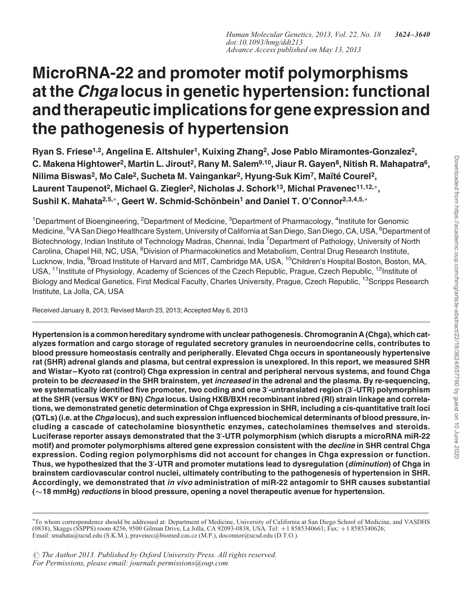# MicroRNA-22 and promoter motif polymorphisms at the *Chga* locus in genetic hypertension: functional and therapeutic implications for gene expression and the pathogenesis of hypertension

Ryan S. Friese<sup>1,2</sup>, Angelina E. Altshuler<sup>1</sup>, Kuixing Zhang<sup>2</sup>, Jose Pablo Miramontes-Gonzalez<sup>2</sup>, C. Makena Hightower<sup>2</sup>, Martin L. Jirout<sup>2</sup>, Rany M. Salem<sup>9,10</sup>, Jiaur R. Gayen<sup>8</sup>, Nitish R. Mahapatra<sup>6</sup>, Nilima Biswas<sup>2</sup>, Mo Cale<sup>2</sup>, Sucheta M. Vaingankar<sup>2</sup>, Hyung-Suk Kim<sup>7</sup>, Maïté Courel<sup>2</sup>, Laurent Taupenot<sup>2</sup>, Michael G. Ziegler<sup>2</sup>, Nicholas J. Schork<sup>13</sup>, Michal Pravenec<sup>11,12,</sup><sup>\*</sup>, Sushil K. Mahata<sup>2,5,\*</sup>, Geert W. Schmid-Schönbein<sup>1</sup> and Daniel T. O'Connor<sup>2,3,4,5,\*</sup>

<sup>1</sup>Department of Bioengineering, <sup>2</sup>Department of Medicine, <sup>3</sup>Department of Pharmacology, <sup>4</sup>Institute for Genomic Medicine, <sup>5</sup>VA San Diego Healthcare System, University of California at San Diego, San Diego, CA, USA, <sup>6</sup>Department of Biotechnology, Indian Institute of Technology Madras, Chennai, India <sup>7</sup>Department of Pathology, University of North Carolina, Chapel Hill, NC, USA, <sup>8</sup>Division of Pharmacokinetics and Metabolism, Central Drug Research Institute, Lucknow, India, <sup>9</sup>Broad Institute of Harvard and MIT, Cambridge MA, USA, <sup>10</sup>Children's Hospital Boston, Boston, MA, USA, <sup>11</sup>Institute of Physiology, Academy of Sciences of the Czech Republic, Prague, Czech Republic, <sup>12</sup>Institute of Biology and Medical Genetics, First Medical Faculty, Charles University, Prague, Czech Republic, <sup>13</sup>Scripps Research Institute, La Jolla, CA, USA

Received January 8, 2013; Revised March 23, 2013; Accepted May 6, 2013

Hypertension is a common hereditary syndrome with unclear pathogenesis. Chromogranin A (Chga), which catalyzes formation and cargo storage of regulated secretory granules in neuroendocrine cells, contributes to blood pressure homeostasis centrally and peripherally. Elevated Chga occurs in spontaneously hypertensive rat (SHR) adrenal glands and plasma, but central expression is unexplored. In this report, we measured SHR and Wistar–Kyoto rat (control) Chga expression in central and peripheral nervous systems, and found Chga protein to be *decreased* in the SHR brainstem, yet *increased* in the adrenal and the plasma. By re-sequencing, we systematically identified five promoter, two coding and one 3′ -untranslated region (3′ -UTR) polymorphism at the SHR (versus WKY or BN) Chaa locus. Using HXB/BXH recombinant inbred (RI) strain linkage and correlations, we demonstrated genetic determination of Chga expression in SHR, including a cis-quantitative trait loci (QTLs) (i.e. at the Chga locus), and such expression influenced biochemical determinants of blood pressure, including a cascade of catecholamine biosynthetic enzymes, catecholamines themselves and steroids. Luciferase reporter assays demonstrated that the 3′-UTR polymorphism (which disrupts a microRNA miR-22 motif) and promoter polymorphisms altered gene expression consistent with the *decline* in SHR central Chga expression. Coding region polymorphisms did not account for changes in Chga expression or function. Thus, we hypothesized that the 3′-UTR and promoter mutations lead to dysregulation (*diminution*) of Chga in brainstem cardiovascular control nuclei, ultimately contributing to the pathogenesis of hypertension in SHR. Accordingly, we demonstrated that in vivo administration of miR-22 antagomir to SHR causes substantial (∼18 mmHg) reductions in blood pressure, opening a novel therapeutic avenue for hypertension.

<sup>∗</sup> To whom correspondence should be addressed at: Department of Medicine, University of California at San Diego School of Medicine, and VASDHS (0838), Skaggs (SSPPS) room 4256, 9500 Gilman Drive, La Jolla, CA 92093-0838, USA. Tel: +1 8585340661; Fax: +1 8585340626; Email: smahata@ucsd.edu (S.K.M.), pravenec@biomed.cas.cz (M.P.), doconnor@ucsd.edu (D.T.O.).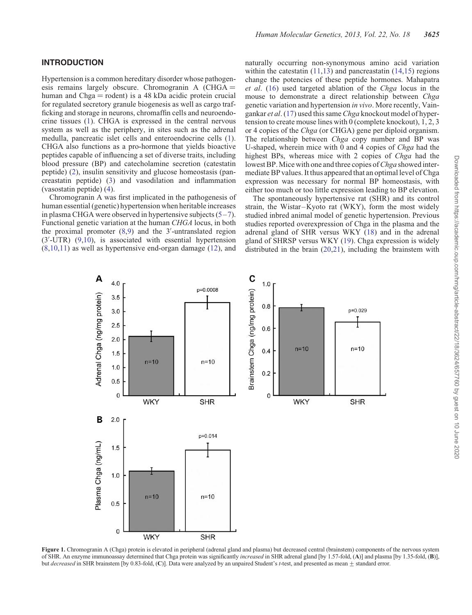<span id="page-1-0"></span>Hypertension is a common hereditary disorder whose pathogenesis remains largely obscure. Chromogranin A  $(CHGA =$ human and Chga  $=$  rodent) is a 48 kDa acidic protein crucial for regulated secretory granule biogenesis as well as cargo trafficking and storage in neurons, chromaffin cells and neuroendocrine tissues [\(1](#page-15-0)). CHGA is expressed in the central nervous system as well as the periphery, in sites such as the adrenal medulla, pancreatic islet cells and enteroendocrine cells [\(1](#page-15-0)). CHGA also functions as a pro-hormone that yields bioactive peptides capable of influencing a set of diverse traits, including blood pressure (BP) and catecholamine secretion (catestatin peptide) [\(2](#page-15-0)), insulin sensitivity and glucose homeostasis (pancreastatin peptide) [\(3](#page-15-0)) and vasodilation and inflammation (vasostatin peptide) [\(4](#page-15-0)).

Chromogranin A was first implicated in the pathogenesis of human essential (genetic) hypertension when heritable increases in plasma CHGA were observed in hypertensive subjects  $(5-7)$  $(5-7)$  $(5-7)$  $(5-7)$ . Functional genetic variation at the human CHGA locus, in both the proximal promoter ([8,9](#page-15-0)) and the 3′ -untranslated region (3′ -UTR) ([9,10](#page-15-0)), is associated with essential hypertension [\(8](#page-15-0),[10,11](#page-15-0)) as well as hypertensive end-organ damage ([12\)](#page-15-0), and

naturally occurring non-synonymous amino acid variation within the catestatin  $(11,13)$  $(11,13)$  $(11,13)$  and pancreastatin  $(14,15)$  $(14,15)$  $(14,15)$  regions change the potencies of these peptide hormones. Mahapatra et al. [\(16](#page-15-0)) used targeted ablation of the Chga locus in the mouse to demonstrate a direct relationship between Chga genetic variation and hypertension in vivo. More recently, Vaingankar et al. [\(17](#page-15-0)) used this same Chga knockout model of hypertension to create mouse lines with 0 (complete knockout), 1, 2, 3 or 4 copies of the Chga (or CHGA) gene per diploid organism. The relationship between *Chga* copy number and BP was U-shaped, wherein mice with 0 and 4 copies of Chga had the highest BPs, whereas mice with 2 copies of *Chga* had the lowest BP. Mice with one and three copies of *Chga* showed intermediate BP values. It thus appeared that an optimal level of Chga expression was necessary for normal BP homeostasis, with either too much or too little expression leading to BP elevation.

The spontaneously hypertensive rat (SHR) and its control strain, the Wistar-Kyoto rat (WKY), form the most widely studied inbred animal model of genetic hypertension. Previous studies reported overexpression of Chga in the plasma and the adrenal gland of SHR versus WKY ([18\)](#page-15-0) and in the adrenal gland of SHRSP versus WKY [\(19](#page-15-0)). Chga expression is widely distributed in the brain [\(20,21](#page-15-0)), including the brainstem with



Figure 1. Chromogranin A (Chga) protein is elevated in peripheral (adrenal gland and plasma) but decreased central (brainstem) components of the nervous system of SHR. An enzyme immunoassay determined that Chga protein was significantly increased in SHR adrenal gland [by 1.57-fold, (A)] and plasma [by 1.35-fold, (B)], but decreased in SHR brainstem [by 0.83-fold, (C)]. Data were analyzed by an unpaired Student's t-test, and presented as mean  $\pm$  standard error.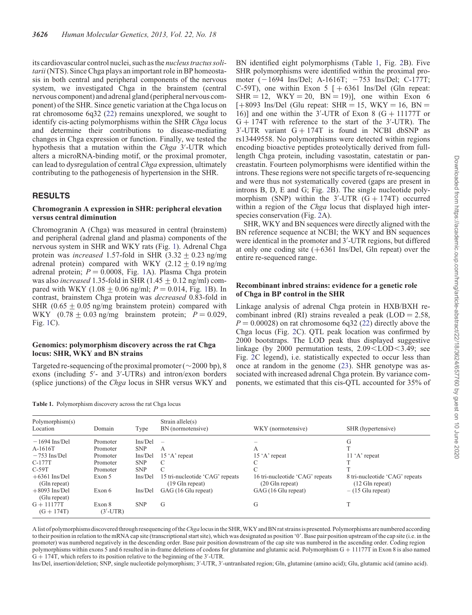<span id="page-2-0"></span>its cardiovascular control nuclei, such as the nucleus tractus solitarii(NTS). Since Chga plays an important role in BP homeostasis in both central and peripheral components of the nervous system, we investigated Chga in the brainstem (central nervous component) and adrenal gland (peripheral nervous component) of the SHR. Since genetic variation at the Chga locus on rat chromosome 6q32 ([22](#page-15-0)) remains unexplored, we sought to identify cis-acting polymorphisms within the SHR Chga locus and determine their contributions to disease-mediating changes in Chga expression or function. Finally, we tested the hypothesis that a mutation within the Chga 3'-UTR which alters a microRNA-binding motif, or the proximal promoter, can lead to dysregulation of central Chga expression, ultimately contributing to the pathogenesis of hypertension in the SHR.

# RESULTS

#### Chromogranin A expression in SHR: peripheral elevation versus central diminution

Chromogranin A (Chga) was measured in central (brainstem) and peripheral (adrenal gland and plasma) components of the nervous system in SHR and WKY rats (Fig. [1\)](#page-1-0). Adrenal Chga protein was *increased* 1.57-fold in SHR (3.32  $\pm$  0.23 ng/mg adrenal protein) compared with WKY  $(2.12 + 0.19)$  ng/mg adrenal protein;  $P = 0.0008$ , Fig. [1A](#page-1-0)). Plasma Chga protein was also *increased* 1.35-fold in SHR (1.45  $\pm$  0.12 ng/ml) compared with WKY (1.08  $\pm$  0.06 ng/ml; P = 0.014, Fig. [1B](#page-1-0)). In contrast, brainstem Chga protein was decreased 0.83-fold in SHR ( $0.65 \pm 0.05$  ng/mg brainstem protein) compared with WKY  $(0.78 \pm 0.03 \text{ ng/mg}$  brainstem protein;  $P = 0.029$ , Fig. [1](#page-1-0)C).

## Genomics: polymorphism discovery across the rat Chga locus: SHR, WKY and BN strains

Targeted re-sequencing of the proximal promoter ( $\sim$ 2000 bp), 8 exons (including 5′ - and 3′ -UTRs) and intron/exon borders (splice junctions) of the Chga locus in SHR versus WKY and

Table 1. Polymorphism discovery across the rat Chga locus

BN identified eight polymorphisms (Table 1, Fig. [2B](#page-3-0)). Five SHR polymorphisms were identified within the proximal promoter  $(-1694 \text{ Ins}/\text{Del}; A-1616T; -753 \text{ Ins}/\text{Del}; C-177T;$ C-59T), one within Exon 5  $[ +6361$  Ins/Del (Gln repeat:  $SHR = 12$ ,  $WKY = 20$ ,  $BN = 19$ ], one within Exon 6  $[-8093$  Ins/Del (Glu repeat: SHR = 15, WKY = 16, BN = 16)] and one within the  $3'$ -UTR of Exon 8 (G + 11177T or  $G + 174T$  with reference to the start of the 3'-UTR). The  $3'$ -UTR variant  $G + 174T$  is found in NCBI dbSNP as rs13449558. No polymorphisms were detected within regions encoding bioactive peptides proteolytically derived from fulllength Chga protein, including vasostatin, catestatin or pancreastatin. Fourteen polymorphisms were identified within the introns. These regions were not specific targets of re-sequencing and were thus not systematically covered (gaps are present in introns B, D, E and G; Fig. [2B](#page-3-0)). The single nucleotide polymorphism (SNP) within the  $3'$ -UTR (G + 174T) occurred within a region of the *Chga* locus that displayed high interspecies conservation (Fig. [2](#page-3-0)A).

SHR, WKY and BN sequences were directly aligned with the BN reference sequence at NCBI; the WKY and BN sequences were identical in the promoter and 3′ -UTR regions, but differed at only one coding site  $(+6361 \text{ Ins/Del}, \text{Gln repeat})$  over the entire re-sequenced range.

## Recombinant inbred strains: evidence for a genetic role of Chga in BP control in the SHR

Linkage analysis of adrenal Chga protein in HXB/BXH recombinant inbred (RI) strains revealed a peak  $(LOD = 2.58,$  $P = 0.00028$ ) on rat chromosome 6q32 ([22\)](#page-15-0) directly above the Chga locus (Fig. [2](#page-3-0)C). QTL peak location was confirmed by 2000 bootstraps. The LOD peak thus displayed suggestive linkage (by  $2000$  permutation tests,  $2.09<$ LOD $<$ 3.49; see Fig. [2C](#page-3-0) legend), i.e. statistically expected to occur less than once at random in the genome [\(23\)](#page-15-0). SHR genotype was associated with increased adrenal Chga protein. By variance components, we estimated that this cis-QTL accounted for 35% of

| Polymorphism(s)<br>Location                                                                                               | Domain                                                                       | Type                                                                               | Strain allele $(s)$<br>BN (normotensive)                                                                                       | WKY (normotensive)                                                                                                                   | SHR (hypertensive)                                                                                               |
|---------------------------------------------------------------------------------------------------------------------------|------------------------------------------------------------------------------|------------------------------------------------------------------------------------|--------------------------------------------------------------------------------------------------------------------------------|--------------------------------------------------------------------------------------------------------------------------------------|------------------------------------------------------------------------------------------------------------------|
| $-1694$ Ins/Del<br>A-1616T<br>$-753$ Ins/Del<br>$C-177T$<br>$C-59T$<br>$+6361$ Ins/Del<br>(Gln repeat)<br>$+8093$ Ins/Del | Promoter<br>Promoter<br>Promoter<br>Promoter<br>Promoter<br>Exon 5<br>Exon 6 | Ins/Del<br><b>SNP</b><br>Ins/Del<br><b>SNP</b><br><b>SNP</b><br>Ins/Del<br>Ins/Del | А<br>$15$ 'A' repeat<br>C<br>C<br>15 tri-nucleotide 'CAG' repeats<br>$(19 \text{ G} \ln \text{repeat})$<br>GAG (16 Glu repeat) | А<br>$15 \text{ }^{\circ}$ A' repeat<br>16 tri-nucleotide 'CAG' repeats<br>$(20 \text{ G} \ln \text{repeat})$<br>GAG (16 Glu repeat) | G<br>$11 \n\cdot A$ repeat<br>8 tri-nucleotide 'CAG' repeats<br>$(12 \text{ Gln repeat})$<br>$-$ (15 Glu repeat) |
| (Glu repeat)<br>$G + 11177T$<br>$(G + 174T)$                                                                              | Exon 8<br>$(3'$ -UTR)                                                        | <b>SNP</b>                                                                         | G                                                                                                                              | G                                                                                                                                    |                                                                                                                  |

A list of polymorphisms discovered through resequencing of the Chga locus in the SHR, WKY and BN rat strains is presented. Polymorphisms are numbered according to their position in relation to the mRNA cap site (transcriptional start site), which was designated as position '0'. Base pair position upstream of the cap site (i.e. in the promoter) was numbered negatively in the descending order. Base pair position downstream of the cap site was numbered in the ascending order. Coding region polymorphisms within exons 5 and 6 resulted in in-frame deletions of codons for glutamine and glutamic acid. Polymorphism G + 11177T in Exon 8 is also named  $G + 174T$ , which refers to its position relative to the beginning of the 3'-UTR.

Ins/Del, insertion/deletion; SNP, single nucleotide polymorphism; 3'-UTR, 3'-untranlsated region; Gln, glutamine (amino acid); Glu, glutamic acid (amino acid).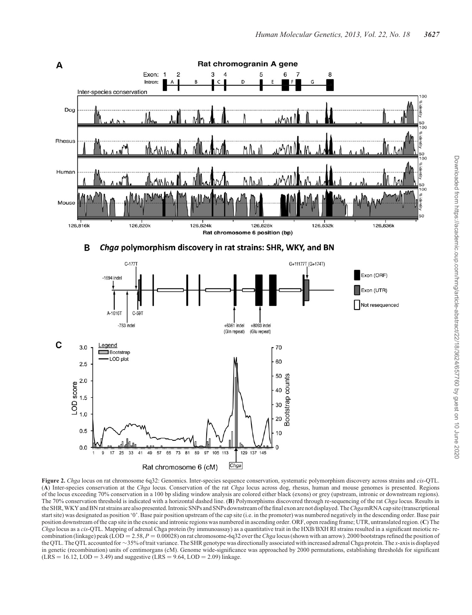<span id="page-3-0"></span>

Figure 2. Chga locus on rat chromosome 6q32: Genomics. Inter-species sequence conservation, systematic polymorphism discovery across strains and cis-QTL. (A) Inter-species conservation at the Chga locus. Conservation of the rat Chga locus across dog, rhesus, human and mouse genomes is presented. Regions of the locus exceeding 70% conservation in a 100 bp sliding window analysis are colored either black (exons) or grey (upstream, intronic or downstream regions). The 70% conservation threshold is indicated with a horizontal dashed line. (B) Polymorphisms discovered through re-sequencing of the rat Chga locus. Results in the SHR, WKY and BN rat strains are also presented. Intronic SNPs and SNPs downstream of the final exon are not displayed. The *Chga*mRNA cap site (transcriptional start site) was designated as position '0'. Base pair position upstream of the cap site (i.e. in the promoter) was numbered negatively in the descending order. Base pair position downstream of the cap site in the exonic and intronic regions was numbered in ascending order. ORF, open reading frame; UTR, untranslated region. (C) The Chga locus as a cis-QTL. Mapping of adrenal Chga protein (by immunoassay) as a quantitative trait in the HXB/BXH RI strains resulted in a significant meiotic recombination (linkage) peak (LOD = 2.58,  $P = 0.00028$ ) on rat chromosome-6q32 over the Chga locus (shown with an arrow). 2000 bootstraps refined the position of the QTL. The QTL accounted for  $\sim$  35% of trait variance. The SHR genotype was directionally associated with increased adrenal Chga protein. The x-axis is displayed in genetic (recombination) units of centimorgans (cM). Genome wide-significance was approached by 2000 permutations, establishing thresholds for significant  $(LRS = 16.12, \text{LOD} = 3.49)$  and suggestive  $(LRS = 9.64, \text{LOD} = 2.09)$  linkage.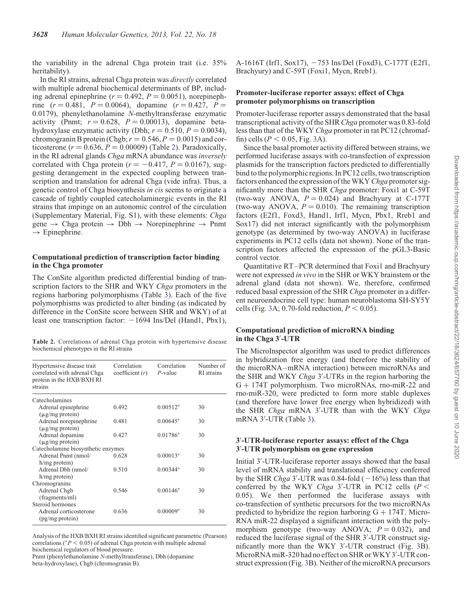<span id="page-4-0"></span>the variability in the adrenal Chga protein trait (i.e. 35% heritability).

In the RI strains, adrenal Chga protein was directly correlated with multiple adrenal biochemical determinants of BP, including adrenal epinephrine ( $r = 0.492$ ,  $P = 0.0051$ ), norepinephrine  $(r = 0.481, P = 0.0064)$ , dopamine  $(r = 0.427, P =$ 0.0179), phenylethanolamine N-methyltransferase enzymatic activity (Pnmt;  $r = 0.628$ ,  $P = 0.00013$ ), dopamine betahydroxylase enzymatic activity (Dbh;  $r = 0.510$ ,  $P = 0.0034$ ), chromogranin B protein (Chgb;  $r = 0.546$ ,  $P = 0.0015$ ) and corticosterone ( $r = 0.636$ ,  $P = 0.00009$ ) (Table 2). Paradoxically, in the RI adrenal glands *Chga* mRNA abundance was *inverselv* correlated with Chga protein ( $r = -0.417$ ,  $P = 0.0167$ ), suggesting derangement in the expected coupling between transcription and translation for adrenal Chga (vide infra). Thus, a genetic control of Chga biosynthesis in cis seems to originate a cascade of tightly coupled catecholaminergic events in the RI strains that impinge on an autonomic control of the circulation [\(Supplementary Material, Fig. S1\)](http://hmg.oxfordjournals.org/lookup/suppl/doi:10.1093/hmg/ddt213/-/DC1), with these elements: Chga gene  $\rightarrow$  Chga protein  $\rightarrow$  Dbh  $\rightarrow$  Norepinephrine  $\rightarrow$  Pnmt  $\rightarrow$  Epinephrine.

## Computational prediction of transcription factor binding in the Chga promoter

The ConSite algorithm predicted differential binding of transcription factors to the SHR and WKY Chga promoters in the regions harboring polymorphisms (Table [3](#page-5-0)). Each of the five polymorphisms was predicted to alter binding (as indicated by difference in the ConSite score between SHR and WKY) of at least one transcription factor:  $-1694$  Ins/Del (Hand1, Pbx1),

Table 2. Correlations of adrenal Chga protein with hypertensive disease biochemical phenotypes in the RI strains

| Hypertensive disease trait<br>correlated with adrenal Chga<br>protein in the HXB/BXH RI<br>strains | Correlation<br>coefficient $(r)$ | Correlation<br>$P$ -value | Number of<br>RI strains |  |  |  |
|----------------------------------------------------------------------------------------------------|----------------------------------|---------------------------|-------------------------|--|--|--|
| Catecholamines                                                                                     |                                  |                           |                         |  |  |  |
| Adrenal epinephrine<br>$(\mu$ g/mg protein)                                                        | 0.492                            | $0.00512*$                | 30                      |  |  |  |
| Adrenal norepinephrine<br>$(\mu$ g/mg protein)                                                     | 0.481                            | $0.00645*$                | 30                      |  |  |  |
| Adrenal dopamine<br>$(\mu$ g/mg protein)                                                           | 0.427                            | $0.01786*$                | 30                      |  |  |  |
| Catecholamine biosynthetic enzymes                                                                 |                                  |                           |                         |  |  |  |
| Adrenal Pnmt (nmol/<br>$h/mg$ protein)                                                             | 0.628                            | $0.00013*$                | 30                      |  |  |  |
| Adrenal Dbh (nmol/<br>$h/mg$ protein)                                                              | 0.510                            | $0.00344*$                | 30                      |  |  |  |
| Chromogranins                                                                                      |                                  |                           |                         |  |  |  |
| Adrenal Chgb<br>(fragments/ml)                                                                     | 0.546                            | $0.00146*$                | 30                      |  |  |  |
| Steroid hormones                                                                                   |                                  |                           |                         |  |  |  |
| Adrenal corticosterone<br>$(pg/mg)$ protein)                                                       | 0.636                            | $0.00009*$                | 30                      |  |  |  |

Analysis of the HXB/BXH RI strains identified significant parametric (Pearson) correlations ( $*P < 0.05$ ) of adrenal Chga protein with multiple adrenal biochemical regulators of blood pressure.

Pnmt (phenylethanolamine N-methyltransferase), Dbh (dopamine beta-hydroxylase), Chgb (chromogranin B).

A-1616T (Irf1, Sox17), -753 Ins/Del (Foxd3), C-177T (E2f1, Brachyury) and C-59T (Foxi1, Mycn, Rreb1).

#### Promoter-luciferase reporter assays: effect of Chga promoter polymorphisms on transcription

Promoter-luciferase reporter assays demonstrated that the basal transcriptional activity of the SHR Chga promoter was 0.83-fold less than that of the WKY Chga promoter in rat PC12 (chromaffin) cells ( $P < 0.05$ , Fig. [3](#page-6-0)A).

Since the basal promoter activity differed between strains, we performed luciferase assays with co-transfection of expression plasmids for the transcription factors predicted to differentially bind to the polymorphic regions. In PC12 cells, two transcription factors enhanced the expression of the WKY Chga promoter significantly more than the SHR Chga promoter: Foxi1 at C-59T (two-way ANOVA,  $P = 0.024$ ) and Brachyury at C-177T (two-way ANOVA,  $P = 0.010$ ). The remaining transcription factors (E2f1, Foxd3, Hand1, Irf1, Mycn, Pbx1, Rreb1 and Sox17) did not interact significantly with the polymorphism genotype (as determined by two-way ANOVA) in luciferase experiments in PC12 cells (data not shown). None of the transcription factors affected the expression of the pGL3-Basic control vector.

Quantitative RT –PCR determined that Foxi1 and Brachyury were not expressed in vivo in the SHR or WKY brainstem or the adrenal gland (data not shown). We, therefore, confirmed reduced basal expression of the SHR Chga promoter in a different neuroendocrine cell type: human neuroblastoma SH-SY5Y cells (Fig. [3](#page-6-0)A; 0.70-fold reduction,  $P < 0.05$ ).

## Computational prediction of microRNA binding in the Chga 3′ -UTR

The MicroInspector algorithm was used to predict differences in hybridization free energy (and therefore the stability of the microRNA –mRNA interaction) between microRNAs and the SHR and WKY Chga 3'-UTRs in the region harboring the G + 174T polymorphism. Two microRNAs, rno-miR-22 and rno-miR-320, were predicted to form more stable duplexes (and therefore have lower free energy when hybridized) with the SHR Chga mRNA 3'-UTR than with the WKY Chga mRNA 3′ -UTR (Table [3\)](#page-5-0).

#### 3′ -UTR-luciferase reporter assays: effect of the Chga 3′ -UTR polymorphism on gene expression

Initial 3′ -UTR-luciferase reporter assays showed that the basal level of mRNA stability and translational efficiency conferred by the SHR  $Chga 3'$ -UTR was 0.84-fold  $(-16%)$  less than that conferred by the WKY *Chga* 3'-UTR in PC12 cells ( $P <$ 0.05). We then performed the luciferase assays with co-transfection of synthetic precursors for the two microRNAs predicted to hybridize the region harboring  $G + 174T$ . Micro-RNA miR-22 displayed a significant interaction with the polymorphism genotype (two-way ANOVA;  $P = 0.032$ ), and reduced the luciferase signal of the SHR 3'-UTR construct significantly more than the WKY 3′ -UTR construct (Fig. [3](#page-6-0)B). MicroRNA miR-320 had no effect on SHR or WKY 3'-UTR construct expression (Fig. [3](#page-6-0)B). Neither of the microRNA precursors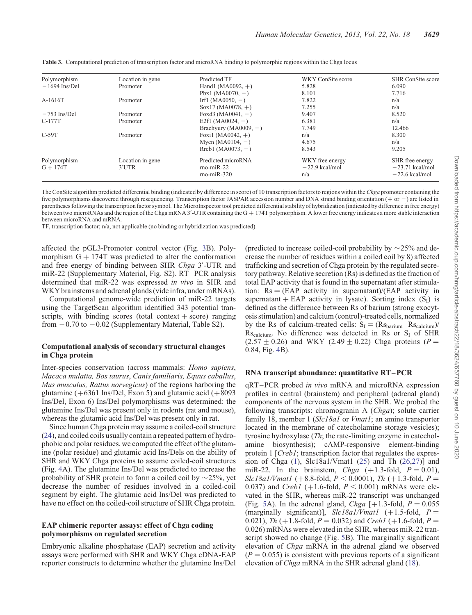| Polymorphism               | Location in gene          | Predicted TF                                       | WKY ConSite score                          | <b>SHR</b> ConSite score                                 |
|----------------------------|---------------------------|----------------------------------------------------|--------------------------------------------|----------------------------------------------------------|
| $-1694$ Ins/Del            | Promoter                  | Hand1 (MA0092, $+$ )                               | 5.828                                      | 6.090                                                    |
|                            |                           | Pbx1 (MA0070, $-$ )                                | 8.101                                      | 7.716                                                    |
| $A-1616T$                  | Promoter                  | Irf1 (MA0050, $-$ )                                | 7.822                                      | n/a                                                      |
|                            |                           | $Sox17(MA0078,+)$                                  | 7.255                                      | n/a                                                      |
| $-753$ Ins/Del             | Promoter                  | Foxd3 (MA0041, $-$ )                               | 9.407                                      | 8.520                                                    |
| C-177T                     | Promoter                  | E2f1 (MA0024, $-$ )                                | 6.381                                      | n/a                                                      |
|                            |                           | Brachyury (MA0009, $-$ )                           | 7.749                                      | 12.466                                                   |
| $C-59T$                    | Promoter                  | Foxi1 (MA0042, $+$ )                               | n/a                                        | 8.300                                                    |
|                            |                           | Mycn (MA0104, $-$ )                                | 4.675                                      | n/a                                                      |
|                            |                           | Rreb1 (MA0073, $-$ )                               | 8.543                                      | 9.205                                                    |
| Polymorphism<br>$G + 174T$ | Location in gene<br>3'UTR | Predicted microRNA<br>$mo-miR-22$<br>$rno-miR-320$ | WKY free energy<br>$-22.9$ kcal/mol<br>n/a | SHR free energy<br>$-23.71$ kcal/mol<br>$-22.6$ kcal/mol |

<span id="page-5-0"></span>Table 3. Computational prediction of transcription factor and microRNA binding to polymorphic regions within the Chga locus

The ConSite algorithm predicted differential binding (indicated by difference in score) of 10 transcription factors to regions within the Chga promoter containing the five polymorphisms discovered through resequencing. Transcription factor JASPAR accession number and DNA strand binding orientation  $(+ \text{ or } -)$  are listed in parentheses following the transcription factor symbol. The MicroInspector tool predicted differential stability of hybridization (indicated by difference in free energy) between two microRNAs and the region of the Chga mRNA 3'-UTR containing the G  $+$  174T polymorphism. A lower free energy indicates a more stable interaction between microRNA and mRNA.

TF, transcription factor; n/a, not applicable (no binding or hybridization was predicted).

affected the pGL3-Promoter control vector (Fig. [3](#page-6-0)B). Polymorphism  $G + 174T$  was predicted to alter the conformation and free energy of binding between SHR Chga 3'-UTR and miR-22 ([Supplementary Material, Fig. S2](http://hmg.oxfordjournals.org/lookup/suppl/doi:10.1093/hmg/ddt213/-/DC1)). RT –PCR analysis determined that miR-22 was expressed in vivo in SHR and WKY brainstems and adrenal glands (vide infra, under mRNAs).

Computational genome-wide prediction of miR-22 targets using the TargetScan algorithm identified 343 potential transcripts, with binding scores (total context  $+$  score) ranging from  $-0.70$  to  $-0.02$  ([Supplementary Material, Table S2](http://hmg.oxfordjournals.org/lookup/suppl/doi:10.1093/hmg/ddt213/-/DC1)).

## Computational analysis of secondary structural changes in Chga protein

Inter-species conservation (across mammals: Homo sapiens, Macaca mulatta, Bos taurus, Canis familiaris, Equus caballus, Mus musculus, Rattus norvegicus) of the regions harboring the glutamine  $(+6361 \text{ Ins/Del}, \text{Exon 5})$  and glutamic acid  $(+8093 \text{ m})$ Ins/Del, Exon 6) Ins/Del polymorphisms was determined: the glutamine Ins/Del was present only in rodents (rat and mouse), whereas the glutamic acid Ins/Del was present only in rat.

Since human Chga protein may assume a coiled-coil structure [\(24](#page-15-0)), and coiled coils usually contain a repeated pattern of hydrophobic and polar residues, we computed the effect of the glutamine (polar residue) and glutamic acid Ins/Dels on the ability of SHR and WKY Chga proteins to assume coiled-coil structures (Fig. [4A](#page-7-0)). The glutamine Ins/Del was predicted to increase the probability of SHR protein to form a coiled coil by  $\sim$ 25%, yet decrease the number of residues involved in a coiled-coil segment by eight. The glutamic acid Ins/Del was predicted to have no effect on the coiled-coil structure of SHR Chga protein.

## EAP chimeric reporter assays: effect of Chga coding polymorphisms on regulated secretion

Embryonic alkaline phosphatase (EAP) secretion and activity assays were performed with SHR and WKY Chga cDNA-EAP reporter constructs to determine whether the glutamine Ins/Del (predicted to increase coiled-coil probability by  $\sim$  25% and decrease the number of residues within a coiled coil by 8) affected trafficking and secretion of Chga protein by the regulated secretory pathway. Relative secretion (Rs) is defined as the fraction of total EAP activity that is found in the supernatant after stimulation:  $Rs = (EAP \text{ activity in supernatant})/(EAP \text{ activity in}$ supernatant + EAP activity in lysate). Sorting index  $(S<sub>I</sub>)$  is defined as the difference between Rs of barium (strong exocytosis stimulation) and calcium (control)-treated cells, normalized by the Rs of calcium-treated cells:  $S_I = (Rs_{\text{barium}} - Rs_{\text{calcium}})/$  $\text{Rs}_{\text{calcium}}$ . No difference was detected in Rs or S<sub>I</sub> of SHR  $(2.57 \pm 0.26)$  and WKY (2.49  $\pm$  0.22) Chga proteins (P = 0.84, Fig. [4](#page-7-0)B).

#### RNA transcript abundance: quantitative RT–PCR

qRT –PCR probed in vivo mRNA and microRNA expression profiles in central (brainstem) and peripheral (adrenal gland) components of the nervous system in the SHR. We probed the following transcripts: chromogranin A (Chga); solute carrier family 18, member 1 (Slc18a1 or Vmat1; an amine transporter located in the membrane of catecholamine storage vesicles); tyrosine hydroxylase (Th; the rate-limiting enzyme in catecholamine biosynthesis); cAMP-responsive element-binding protein 1 [*Creb1*; transcription factor that regulates the expression of Chga ([1\)](#page-15-0), Slc18a1/Vmat1 [\(25](#page-15-0)) and Th ([26,27](#page-15-0))] and miR-22. In the brainstem, Chga  $(+1.3\text{-fold}, P = 0.01)$ ,  $Slc18a1/Vmat1$  (+8.8-fold,  $P < 0.0001$ ), Th (+1.3-fold, P = 0.037) and *Creb1* (+1.6-fold,  $P < 0.001$ ) mRNAs were elevated in the SHR, whereas miR-22 transcript was unchanged (Fig. [5A](#page-7-0)). In the adrenal gland, *Chga*  $[+1.3\text{-fold}, P = 0.055]$ (marginally significant)],  $Slc18a1/Vmat1$  (+1.5-fold,  $P =$ 0.021), Th (+1.8-fold,  $P = 0.032$ ) and Creb1 (+1.6-fold,  $P =$ 0.026) mRNAs were elevated in the SHR, whereas miR-22 tran-script showed no change (Fig. [5B](#page-7-0)). The marginally significant elevation of Chga mRNA in the adrenal gland we observed  $(P = 0.055)$  is consistent with previous reports of a significant elevation of Chga mRNA in the SHR adrenal gland [\(18](#page-15-0)).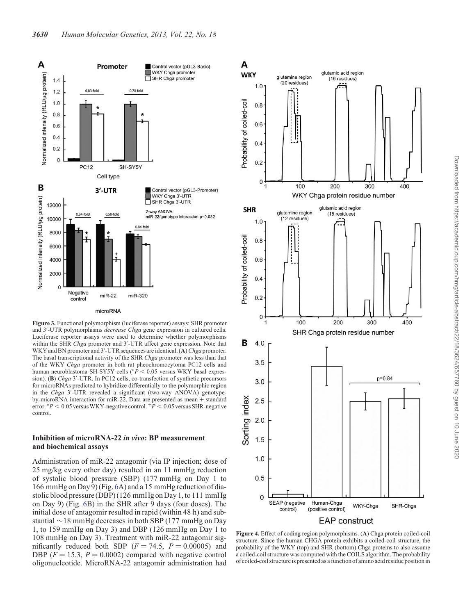<span id="page-6-0"></span>

Figure 3. Functional polymorphism (luciferase reporter) assays: SHR promoter and 3'-UTR polymorphisms decrease Chga gene expression in cultured cells. Luciferase reporter assays were used to determine whether polymorphisms within the SHR Chga promoter and 3'-UTR affect gene expression. Note that WKY and BN promoter and 3'-UTR sequences are identical. (A) *Chga* promoter. The basal transcriptional activity of the SHR Chga promoter was less than that of the WKY Chga promoter in both rat pheochromocytoma PC12 cells and human neuroblastoma SH-SY5Y cells ( $\bar{P}$  < 0.05 versus WKY basal expression). (B) Chga 3'-UTR. In PC12 cells, co-transfection of synthetic precursors for microRNAs predicted to hybridize differentially to the polymorphic region in the Chga 3'-UTR revealed a significant (two-way ANOVA) genotypeby-microRNA interaction for miR-22. Data are presented as mean  $\pm$  standard error. \* $P < 0.05$  versus WKY-negative control.  $+P < 0.05$  versus SHR-negative control.

## Inhibition of microRNA-22 in vivo: BP measurement and biochemical assays

Administration of miR-22 antagomir (via IP injection; dose of 25 mg/kg every other day) resulted in an 11 mmHg reduction of systolic blood pressure (SBP) (177 mmHg on Day 1 to 166 mmHg on Day 9) (Fig. [6A](#page-8-0)) and a 15 mmHg reduction of diastolic blood pressure (DBP) (126 mmHg on Day 1, to 111 mmHg on Day 9) (Fig. [6B](#page-8-0)) in the SHR after 9 days (four doses). The initial dose of antagomir resulted in rapid (within 48 h) and substantial  $\sim$  18 mmHg decreases in both SBP (177 mmHg on Day 1, to 159 mmHg on Day 3) and DBP (126 mmHg on Day 1 to 108 mmHg on Day 3). Treatment with miR-22 antagomir significantly reduced both SBP ( $F = 74.5$ ,  $P = 0.00005$ ) and DBP ( $F = 15.3$ ,  $P = 0.0002$ ) compared with negative control oligonucleotide. MicroRNA-22 antagomir administration had



Figure 4. Effect of coding region polymorphisms. (A) Chga protein coiled-coil structure. Since the human CHGA protein exhibits a coiled-coil structure, the probability of the WKY (top) and SHR (bottom) Chga proteins to also assume a coiled-coil structure was computed with the COILS algorithm. The probability of coiled-coil structure is presented as a function of amino acid residue position in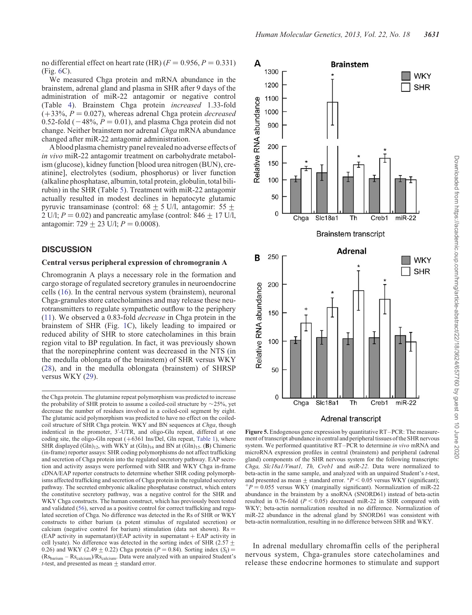<span id="page-7-0"></span>no differential effect on heart rate (HR) ( $F = 0.956, P = 0.331$ ) (Fig. [6C](#page-8-0)).

We measured Chga protein and mRNA abundance in the brainstem, adrenal gland and plasma in SHR after 9 days of the administration of miR-22 antagomir or negative control (Table [4](#page-9-0)). Brainstem Chga protein increased 1.33-fold  $(+33\%, P = 0.027)$ , whereas adrenal Chga protein *decreased* 0.52-fold ( $-48\%$ ,  $P = 0.01$ ), and plasma Chga protein did not change. Neither brainstem nor adrenal Chga mRNA abundance changed after miR-22 antagomir administration.

A blood plasma chemistry panel revealed no adverse effects of in vivo miR-22 antagomir treatment on carbohydrate metabolism (glucose), kidney function [blood urea nitrogen (BUN), creatinine], electrolytes (sodium, phosphorus) or liver function (alkaline phosphatase, albumin, total protein, globulin, total bilirubin) in the SHR (Table [5\)](#page-9-0). Treatment with miR-22 antagomir actually resulted in modest declines in hepatocyte glutamic pyruvic transaminase (control:  $68 \pm 5$  U/l, antagomir:  $55 \pm$ 2 U/l;  $P = 0.02$ ) and pancreatic amylase (control: 846  $\pm$  17 U/l, antagomir: 729  $\pm$  23 U/l;  $P = 0.0008$ ).

#### **DISCUSSION**

#### Central versus peripheral expression of chromogranin A

Chromogranin A plays a necessary role in the formation and cargo storage of regulated secretory granules in neuroendocrine cells ([16\)](#page-15-0). In the central nervous system (brainstem), neuronal Chga-granules store catecholamines and may release these neurotransmitters to regulate sympathetic outflow to the periphery [\(11](#page-15-0)). We observed a 0.83-fold decrease in Chga protein in the brainstem of SHR (Fig. [1C](#page-1-0)), likely leading to impaired or reduced ability of SHR to store catecholamines in this brain region vital to BP regulation. In fact, it was previously shown that the norepinephrine content was decreased in the NTS (in the medulla oblongata of the brainstem) of SHR versus WKY [\(28](#page-15-0)), and in the medulla oblongata (brainstem) of SHRSP versus WKY [\(29](#page-15-0)).

the Chga protein. The glutamine repeat polymorphism was predicted to increase the probability of SHR protein to assume a coiled-coil structure by  $\sim$ 25%, yet decrease the number of residues involved in a coiled-coil segment by eight. The glutamic acid polymorphism was predicted to have no effect on the coiledcoil structure of SHR Chga protein. WKY and BN sequences at Chga, though indentical in the promoter, 3′ -UTR, and oligo-Glu repeat, differed at one coding site, the oligo-Gln repeat (+6361 Ins/Del, Gln repeat, [Table 1](#page-2-0)), where SHR displayed  $(Gln)_{12}$ , with WKY at  $(Gln)_{16}$  and BN at  $(Gln)_{15}$ . (B) Chimeric (in-frame) reporter assays: SHR coding polymorphisms do not affect trafficking and secretion of Chga protein into the regulated secretory pathway. EAP secretion and activity assays were performed with SHR and WKY Chga in-frame cDNA/EAP reporter constructs to determine whether SHR coding polymorphisms affected trafficking and secretion of Chga protein in the regulated secretory pathway. The secreted embryonic alkaline phosphatase construct, which enters the constitutive secretory pathway, was a negative control for the SHR and WKY Chga constructs. The human construct, which has previously been tested and validated [\(56](#page-16-0)), served as a positive control for correct trafficking and regulated secretion of Chga. No difference was detected in the Rs of SHR or WKY constructs to either barium (a potent stimulus of regulated secretion) or calcium (negative control for barium) stimulation (data not shown).  $Rs =$  $(EAP$  activity in supernatant)/ $(EAP$  activity in supernatant  $+$  EAP activity in cell lysate). No difference was detected in the sorting index of SHR (2.57  $\pm$ 0.26) and WKY (2.49  $\pm$  0.22) Chga protein (P = 0.84). Sorting index (S<sub>I</sub>) =  $(Rs_{\text{barium}} - Rs_{\text{calcium}})/Rs_{\text{calcium}}$ . Data were analyzed with an unpaired Student's  $t$ -test, and presented as mean  $\pm$  standard error.



Figure 5. Endogenous gene expression by quantitative RT–PCR: The measurement of transcript abundance in central and peripheral tissues of the SHR nervous system. We performed quantitative RT-PCR to determine in vivo mRNA and microRNA expression profiles in central (brainstem) and peripheral (adrenal gland) components of the SHR nervous system for the following transcripts: Chga,  $Slc18a1/Vmat1$ , Th, Creb1 and  $miR-22$ . Data were normalized to beta-actin in the same sample, and analyzed with an unpaired Student's t-test, and presented as mean  $\pm$  standard error. \*P < 0.05 versus WKY (significant);  $+p = 0.055$  versus WKY (marginally significant). Normalization of miR-22 abundance in the brainstem by a snoRNA (SNORD61) instead of beta-actin resulted in 0.76-fold ( $P < 0.05$ ) decreased miR-22 in SHR compared with WKY; beta-actin normalization resulted in no difference. Normalization of miR-22 abundance in the adrenal gland by SNORD61 was consistent with beta-actin normalization, resulting in no difference between SHR and WKY.

In adrenal medullary chromaffin cells of the peripheral nervous system, Chga-granules store catecholamines and release these endocrine hormones to stimulate and support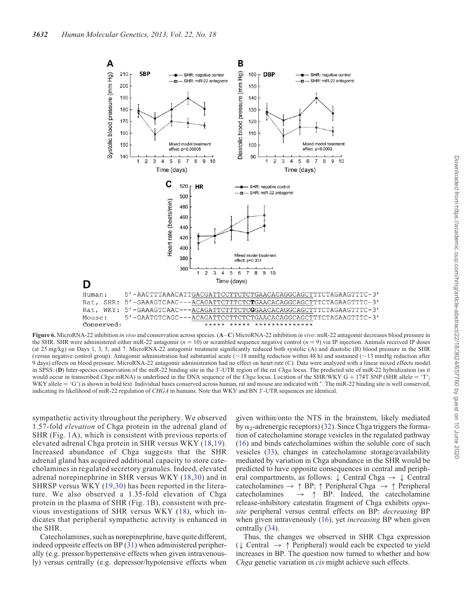<span id="page-8-0"></span>

Figure 6. MicroRNA-22 inhibition in vivo and conservation across species. (A–C) MicroRNA-22 inhibition in vivo: miR-22 antagomir decreases blood pressure in the SHR. SHR were administered either miR-22 antagomir ( $n = 10$ ) or scrambled sequence negative control ( $n = 9$ ) via IP injection. Animals received IP doses (at 25 mg/kg) on Days 1, 3, 5, and 7. MicroRNA-22 antagomir treatment significantly reduced both systolic (A) and diastolic (B) blood pressure in the SHR (versus negative control group). Antagomir administration had substantial acute ( $\sim$ 18 mmHg reduction within 48 h) and sustained ( $\sim$ 13 mmHg reduction after 9 days) effects on blood pressure. MicroRNA-22 antagomir administration had no effect on heart rate (C). Data were analyzed with a linear mixed effects model in SPSS. (D) Inter-species conservation of the miR-22 binding site in the 3'-UTR region of the rat Chga locus. The predicted site of miR-22 hybridization (as it would occur in transcribed Chga mRNA) is underlined in the DNA sequence of the Chga locus. Location of the SHR/WKY G + 174T SNP (SHR allele = 'T'; WKY allele = 'G') is shown in bold text. Individual bases conserved across human, rat and mouse are indicated with \*. The miR-22 binding site is well conserved, indicating its likelihood of miR-22 regulation of CHGA in humans. Note that WKY and BN 3'-UTR sequences are identical.

sympathetic activity throughout the periphery. We observed 1.57-fold elevation of Chga protein in the adrenal gland of SHR (Fig. [1A](#page-1-0)), which is consistent with previous reports of elevated adrenal Chga protein in SHR versus WKY ([18,19\)](#page-15-0). Increased abundance of Chga suggests that the SHR adrenal gland has acquired additional capacity to store catecholamines in regulated secretory granules. Indeed, elevated adrenal norepinephrine in SHR versus WKY ([18](#page-15-0),[30\)](#page-15-0) and in SHRSP versus WKY ([19,30\)](#page-15-0) has been reported in the literature. We also observed a 1.35-fold elevation of Chga protein in the plasma of SHR (Fig. [1](#page-1-0)B), consistent with previous investigations of SHR versus WKY ([18](#page-15-0)), which indicates that peripheral sympathetic activity is enhanced in the SHR.

Catecholamines, such as norepinephrine, have quite different, indeed opposite effects on BP ([31\)](#page-15-0) when administered peripherally (e.g. pressor/hypertensive effects when given intravenously) versus centrally (e.g. depressor/hypotensive effects when given within/onto the NTS in the brainstem, likely mediated by  $\alpha_2$ -adrenergic receptors) [\(32](#page-16-0)). Since Chga triggers the formation of catecholamine storage vesicles in the regulated pathway [\(16](#page-15-0)) and binds catecholamines within the soluble core of such vesicles [\(33](#page-16-0)), changes in catecholamine storage/availability mediated by variation in Chga abundance in the SHR would be predicted to have opposite consequences in central and peripheral compartments, as follows:  $\downarrow$  Central Chga  $\rightarrow \downarrow$  Central catecholamines  $\rightarrow \uparrow BP$ ;  $\uparrow$  Peripheral Chga  $\rightarrow \uparrow$  Peripheral catecholamines  $\rightarrow \uparrow BP$ . Indeed, the catecholamine  $\rightarrow \uparrow$  BP. Indeed, the catecholamine release-inhibitory catestatin fragment of Chga exhibits opposite peripheral versus central effects on BP: decreasing BP when given intravenously ([16\)](#page-15-0), yet *increasing* BP when given centrally ([34\)](#page-16-0).

Thus, the changes we observed in SHR Chga expression  $(\downarrow$  Central  $\rightarrow \uparrow$  Peripheral) would each be expected to yield increases in BP. The question now turned to whether and how Chga genetic variation in cis might achieve such effects.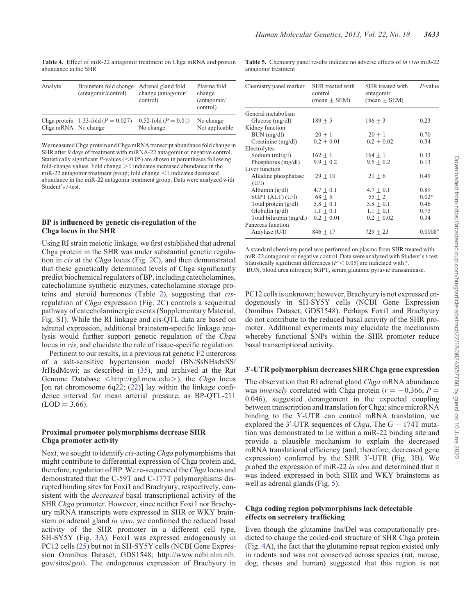<span id="page-9-0"></span>Table 4. Effect of miR-22 antagomir treatment on Chga mRNA and protein abundance in the SHR

| Analyte             | Brainstem fold change<br>(antagomir/control) | Adrenal gland fold<br>change (antagomir/<br>control) | Plasma fold<br>change<br>(antagonir/<br>control) |
|---------------------|----------------------------------------------|------------------------------------------------------|--------------------------------------------------|
| Chga mRNA No change | Chga protein 1.33-fold $(P = 0.027)$         | 0.52-fold $(P = 0.01)$<br>No change                  | No change<br>Not applicable                      |

We measured Chga protein and Chga mRNA transcript abundance fold change in SHR after 9 days of treatment with miRNA-22 antagomir or negative control. Statistically significant  $P$ -values (<0.05) are shown in parentheses following fold-change values. Fold change  $>1$  indicates increased abundance in the miR-22 antagomir treatment group; fold change  $\leq$ 1 indicates decreased abundance in the miR-22 antagomir treatment group. Data were analyzed with Student's *t*-test.

#### BP is influenced by genetic cis-regulation of the Chga locus in the SHR

Using RI strain meiotic linkage, we first established that adrenal Chga protein in the SHR was under substantial genetic regulation in cis at the Chga locus (Fig. [2C](#page-3-0)), and then demonstrated that these genetically determined levels of Chga significantly predict biochemical regulators of BP, including catecholamines, catecholamine synthetic enzymes, catecholamine storage proteins and steroid hormones (Table [2\)](#page-4-0), suggesting that cisregulation of Chga expression (Fig. [2](#page-3-0)C) controls a sequential pathway of catecholaminergic events ([Supplementary Material,](http://hmg.oxfordjournals.org/lookup/suppl/doi:10.1093/hmg/ddt213/-/DC1) [Fig. S1](http://hmg.oxfordjournals.org/lookup/suppl/doi:10.1093/hmg/ddt213/-/DC1)). While the RI linkage and cis-QTL data are based on adrenal expression, additional brainstem-specific linkage analysis would further support genetic regulation of the Chga locus in cis, and elucidate the role of tissue-specific regulation.

Pertinent to our results, in a previous rat genetic F2 intercross of a salt-sensitive hypertension model (BN/SsNHsdxSS/ JrHsdMcwi; as described in ([35\)](#page-16-0), and archived at the Rat Genome Database  $\lt$ http://rgd.mcw.edu.), the Chga locus [on rat chromosome 6q22;  $(22)$  $(22)$ ] lay within the linkage confidence interval for mean arterial pressure, as BP-QTL-211  $(LOD = 3.66)$ .

#### Proximal promoter polymorphisms decrease SHR Chga promoter activity

Next, we sought to identify cis-acting Chga polymorphisms that might contribute to differential expression of Chga protein and, therefore, regulation of BP. We re-sequenced the Chga locus and demonstrated that the C-59T and C-177T polymorphisms disrupted binding sites for Foxi1 and Brachyury, respectively, consistent with the decreased basal transcriptional activity of the SHR Chga promoter. However, since neither Foxi1 nor Brachyury mRNA transcripts were expressed in SHR or WKY brainstem or adrenal gland in vivo, we confirmed the reduced basal activity of the SHR promoter in a different cell type, SH-SY5Y (Fig. [3](#page-6-0)A). Foxi1 was expressed endogenously in PC12 cells [\(25](#page-15-0)) but not in SH-SY5Y cells (NCBI Gene Expression Omnibus Dataset, GDS1548; http://www.ncbi.nlm.nih. gov/sites/geo). The endogenous expression of Brachyury in

| <b>Table 5.</b> Chemistry panel results indicate no adverse effects of in vivo miR-22 |  |  |  |
|---------------------------------------------------------------------------------------|--|--|--|
| antagomir treatment                                                                   |  |  |  |

| Chemistry panel marker  | SHR treated with<br>control<br>$mean \pm SEM$ ) | SHR treated with<br>antagomir<br>$(\text{mean} \pm \text{SEM})$ | $P$ -value |
|-------------------------|-------------------------------------------------|-----------------------------------------------------------------|------------|
| General metabolism      |                                                 |                                                                 |            |
| Glucose $(mg/dl)$       | $189 + 5$                                       | $196 + 3$                                                       | 0.23       |
| Kidney function         |                                                 |                                                                 |            |
| BUN (mg/dl)             | $20 + 1$                                        | $20 + 1$                                                        | 0.70       |
| Creatinine $(mg/dl)$    | $0.2 + 0.01$                                    | $0.2 + 0.02$                                                    | 0.34       |
| Electrolytes            |                                                 |                                                                 |            |
| Sodium (mEq/l)          | $162 + 1$                                       | $164 + 1$                                                       | 0.33       |
| Phosphorus (mg/dl)      | $9.9 + 0.2$                                     | $9.5 + 0.2$                                                     | 0.13       |
| Liver function          |                                                 |                                                                 |            |
| Alkaline phosphatase    | $29 \pm 10$                                     | $21 + 6$                                                        | 0.49       |
| (U/1)                   |                                                 |                                                                 |            |
| Albumin $(g/dl)$        | $4.7 + 0.1$                                     | $4.7 \pm 0.1$                                                   | 0.89       |
| SGPT (ALT) (U/I)        | $68 + 5$                                        | $55 + 2$                                                        | $0.02*$    |
| Total protein $(g/dl)$  | $5.8 \pm 0.1$                                   | $5.8 + 0.1$                                                     | 0.46       |
| Globulin $(g/dl)$       | $1.1 + 0.1$                                     | $1.1 + 0.1$                                                     | 0.75       |
| Total bilirubin (mg/dl) | $0.2 + 0.01$                                    | $0.2 + 0.02$                                                    | 0.34       |
| Pancreas function       |                                                 |                                                                 |            |
| Amylase $(U/l)$         | $846 + 17$                                      | $729 + 23$                                                      | $0.0008*$  |

A standard chemistry panel was performed on plasma from SHR treated with miR-22 antagomir or negative control. Data were analyzed with Student's t-test. Statistically significant differences ( $P < 0.05$ ) are indicated with  $*$ . BUN, blood urea nitrogen; SGPT, serum glutamic pyruvic transaminase.

PC12 cells is unknown; however, Brachyury is not expressed endogenously in SH-SY5Y cells (NCBI Gene Expression Omnibus Dataset, GDS1548). Perhaps Foxi1 and Brachyury do not contribute to the reduced basal activity of the SHR promoter. Additional experiments may elucidate the mechanism whereby functional SNPs within the SHR promoter reduce basal transcriptional activity.

## 3′ -UTR polymorphism decreases SHR Chga gene expression

The observation that RI adrenal gland Chga mRNA abundance was *inversely* correlated with Chga protein ( $r = -0.366$ ,  $P =$ 0.046), suggested derangement in the expected coupling between transcription and translation for Chga; since microRNA binding to the 3′ -UTR can control mRNA translation, we explored the  $3'$ -UTR sequences of *Chga*. The  $G + 174T$  mutation was demonstrated to lie within a miR-22 binding site and provide a plausible mechanism to explain the decreased mRNA translational efficiency (and, therefore, decreased gene expression) conferred by the SHR 3'-UTR (Fig. [3B](#page-6-0)). We probed the expression of miR-22 in vivo and determined that it was indeed expressed in both SHR and WKY brainstems as well as adrenal glands (Fig. [5](#page-7-0)).

#### Chga coding region polymorphisms lack detectable effects on secretory trafficking

Even though the glutamine Ins/Del was computationally predicted to change the coiled-coil structure of SHR Chga protein (Fig. [4A](#page-7-0)), the fact that the glutamine repeat region existed only in rodents and was not conserved across species (rat, mouse, dog, rhesus and human) suggested that this region is not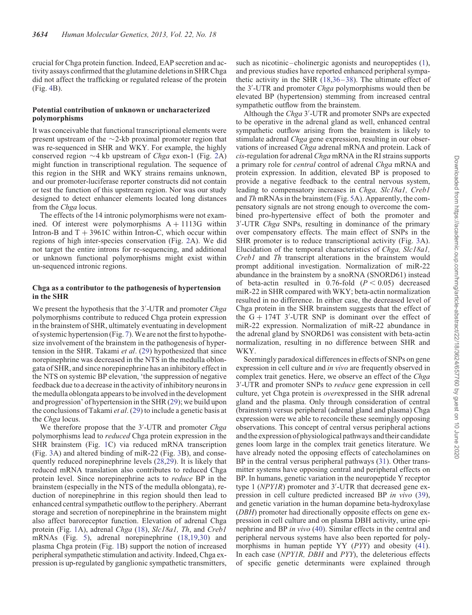crucial for Chga protein function. Indeed, EAP secretion and activity assays confirmed that the glutamine deletions in SHR Chga did not affect the trafficking or regulated release of the protein (Fig. [4](#page-7-0)B).

#### Potential contribution of unknown or uncharacterized polymorphisms

It was conceivable that functional transcriptional elements were present upstream of the  $\sim$ 2-kb proximal promoter region that was re-sequenced in SHR and WKY. For example, the highly conserved region  $\sim$ 4 kb upstream of *Chga* exon-1 (Fig. [2](#page-3-0)A) might function in transcriptional regulation. The sequence of this region in the SHR and WKY strains remains unknown, and our promoter-luciferase reporter constructs did not contain or test the function of this upstream region. Nor was our study designed to detect enhancer elements located long distances from the Chga locus.

The effects of the 14 intronic polymorphisms were not examined. Of interest were polymorphisms  $A + 1113G$  within Intron-B and  $T + 3961C$  within Intron-C, which occur within regions of high inter-species conservation (Fig. [2A](#page-3-0)). We did not target the entire introns for re-sequencing, and additional or unknown functional polymorphisms might exist within un-sequenced intronic regions.

#### Chga as a contributor to the pathogenesis of hypertension in the SHR

We present the hypothesis that the 3'-UTR and promoter Chga polymorphisms contribute to reduced Chga protein expression in the brainstem of SHR, ultimately eventuating in development of systemic hypertension (Fig. [7](#page-11-0)).We are not the first to hypothesize involvement of the brainstem in the pathogenesis of hyper-tension in the SHR. Takami et al. ([29\)](#page-15-0) hypothesized that since norepinephrine was decreased in the NTS in the medulla oblongata of SHR, and since norepinephrine has an inhibitory effect in the NTS on systemic BP elevation, 'the suppression of negative feedback due to a decrease in the activity of inhibitory neurons in the medulla oblongata appears to be involved inthe development and progression' of hypertension in the SHR ([29\)](#page-15-0); we build upon the conclusions of Takami et al. ([29](#page-15-0)) to include a genetic basis at the Chga locus.

We therefore propose that the 3'-UTR and promoter Chga polymorphisms lead to reduced Chga protein expression in the SHR brainstem (Fig. [1](#page-1-0)C) via reduced mRNA transcription (Fig. [3](#page-6-0)A) and altered binding of miR-22 (Fig. [3](#page-6-0)B), and consequently reduced norepinephrine levels [\(28](#page-15-0),[29\)](#page-15-0). It is likely that reduced mRNA translation also contributes to reduced Chga protein level. Since norepinephrine acts to reduce BP in the brainstem (especially in the NTS of the medulla oblongata), reduction of norepinephrine in this region should then lead to enhanced central sympathetic outflow to the periphery. Aberrant storage and secretion of norepinephrine in the brainstem might also affect baroreceptor function. Elevation of adrenal Chga protein (Fig. [1A](#page-1-0)), adrenal Chga [\(18](#page-15-0)), Slc18a1, Th, and Creb1 mRNAs (Fig. [5](#page-7-0)), adrenal norepinephrine [\(18](#page-15-0),[19,30](#page-15-0)) and plasma Chga protein (Fig. [1B](#page-1-0)) support the notion of increased peripheral sympathetic stimulation and activity. Indeed, Chga expression is up-regulated by ganglionic sympathetic transmitters, such as nicotinic –cholinergic agonists and neuropeptides [\(1](#page-15-0)), and previous studies have reported enhanced peripheral sympathetic activity in the SHR ([18](#page-15-0)[,36](#page-16-0)–[38](#page-16-0)). The ultimate effect of the 3′ -UTR and promoter Chga polymorphisms would then be elevated BP (hypertension) stemming from increased central sympathetic outflow from the brainstem.

Although the Chga 3'-UTR and promoter SNPs are expected to be operative in the adrenal gland as well, enhanced central sympathetic outflow arising from the brainstem is likely to stimulate adrenal Chga gene expression, resulting in our observations of increased Chga adrenal mRNA and protein. Lack of cis-regulation for adrenal Chga mRNA in the RI strains supports a primary role for *central* control of adrenal Chga mRNA and protein expression. In addition, elevated BP is proposed to provide a negative feedback to the central nervous system, leading to compensatory increases in *Chga, Slc18a1*, *Creb1* and Th mRNAs in the brainstem (Fig. [5](#page-7-0)A). Apparently, the compensatory signals are not strong enough to overcome the combined pro-hypertensive effect of both the promoter and 3'-UTR Chga SNPs, resulting in dominance of the primary over compensatory effects. The main effect of SNPs in the SHR promoter is to reduce transcriptional activity (Fig. [3A](#page-6-0)). Elucidation of the temporal characteristics of *Chga*, *Slc18a1*, Creb1 and Th transcript alterations in the brainstem would prompt additional investigation. Normalization of miR-22 abundance in the brainstem by a snoRNA (SNORD61) instead of beta-actin resulted in 0.76-fold  $(P < 0.05)$  decreased miR-22 in SHR compared with WKY; beta-actin normalization resulted in no difference. In either case, the decreased level of Chga protein in the SHR brainstem suggests that the effect of the  $G + 174T$  3'-UTR SNP is dominant over the effect of miR-22 expression. Normalization of miR-22 abundance in the adrenal gland by SNORD61 was consistent with beta-actin normalization, resulting in no difference between SHR and WKY.

Seemingly paradoxical differences in effects of SNPs on gene expression in cell culture and in vivo are frequently observed in complex trait genetics. Here, we observe an effect of the *Chga* 3'-UTR and promoter SNPs to *reduce* gene expression in cell culture, yet Chga protein is overexpressed in the SHR adrenal gland and the plasma. Only through consideration of central (brainstem) versus peripheral (adrenal gland and plasma) Chga expression were we able to reconcile these seemingly opposing observations. This concept of central versus peripheral actions and the expression of physiological pathways and their candidate genes loom large in the complex trait genetics literature. We have already noted the opposing effects of catecholamines on BP in the central versus peripheral pathways [\(31](#page-15-0)). Other transmitter systems have opposing central and peripheral effects on BP. In humans, genetic variation in the neuropeptide Y receptor type 1 (NPY1R) promoter and 3'-UTR that decreased gene expression in cell culture predicted increased BP in vivo [\(39](#page-16-0)), and genetic variation in the human dopamine beta-hydroxylase (DBH) promoter had directionally opposite effects on gene expression in cell culture and on plasma DBH activity, urine epinephrine and BP in vivo [\(40](#page-16-0)). Similar effects in the central and peripheral nervous systems have also been reported for poly-morphisms in human peptide YY (PYY) and obesity [\(41](#page-16-0)). In each case (NPY1R, DBH and PYY), the deleterious effects of specific genetic determinants were explained through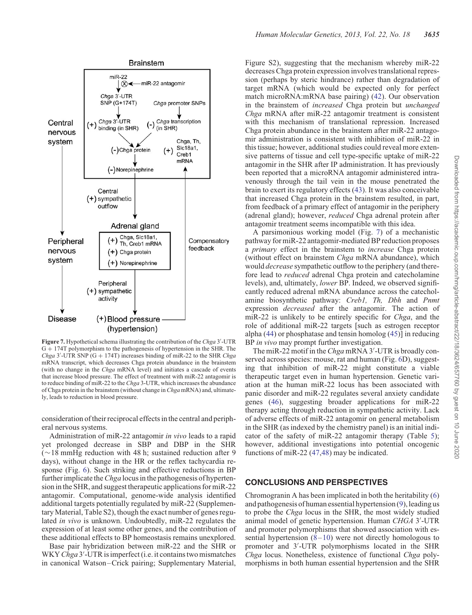<span id="page-11-0"></span>

Figure 7. Hypothetical schema illustrating the contribution of the Chga 3'-UTR G + 174T polymorphism to the pathogenesis of hypertension in the SHR. The *Chga* 3′ UTR SNP  $(G + 174T)$  increases binding of miR-22 to the SHR *Chga* mRNA transcript, which decreases Chga protein abundance in the brainstem (with no change in the Chga mRNA level) and initiates a cascade of events that increase blood pressure. The effect of treatment with miR-22 antagomir is to reduce binding of miR-22 to the Chga 3-UTR, which increases the abundance of Chga protein in the brainstem (without change in Chga mRNA) and, ultimately, leads to reduction in blood pressure.

consideration of their reciprocal effects in the central and peripheral nervous systems.

Administration of miR-22 antagomir in vivo leads to a rapid yet prolonged decrease in SBP and DBP in the SHR  $(\sim 18 \text{ mmHg}$  reduction with 48 h; sustained reduction after 9 days), without change in the HR or the reflex tachycardia response (Fig. [6\)](#page-8-0). Such striking and effective reductions in BP further implicate the *Chga* locus in the pathogenesis of hypertension in the SHR, and suggest therapeutic applications for miR-22 antagomir. Computational, genome-wide analysis identified additional targets potentially regulated by miR-22 [\(Supplemen](http://hmg.oxfordjournals.org/lookup/suppl/doi:10.1093/hmg/ddt213/-/DC1)[tary Material, Table S2\)](http://hmg.oxfordjournals.org/lookup/suppl/doi:10.1093/hmg/ddt213/-/DC1), though the exact number of genes regulated in vivo is unknown. Undoubtedly, miR-22 regulates the expression of at least some other genes, and the contribution of these additional effects to BP homeostasis remains unexplored.

Base pair hybridization between miR-22 and the SHR or WKY Chga 3'-UTR is imperfect (i.e. it contains two mismatches in canonical Watson–Crick pairing; [Supplementary Material,](http://hmg.oxfordjournals.org/lookup/suppl/doi:10.1093/hmg/ddt213/-/DC1) [Figure S2\)](http://hmg.oxfordjournals.org/lookup/suppl/doi:10.1093/hmg/ddt213/-/DC1), suggesting that the mechanism whereby miR-22 decreases Chga protein expression involves translational repression (perhaps by steric hindrance) rather than degradation of target mRNA (which would be expected only for perfect match microRNA:mRNA base pairing) [\(42](#page-16-0)). Our observation in the brainstem of increased Chga protein but unchanged Chga mRNA after miR-22 antagomir treatment is consistent with this mechanism of translational repression. Increased Chga protein abundance in the brainstem after miR-22 antagomir administration is consistent with inhibition of miR-22 in this tissue; however, additional studies could reveal more extensive patterns of tissue and cell type-specific uptake of miR-22 antagomir in the SHR after IP administration. It has previously been reported that a microRNA antagomir administered intravenously through the tail vein in the mouse penetrated the brain to exert its regulatory effects ([43\)](#page-16-0). It was also conceivable that increased Chga protein in the brainstem resulted, in part, from feedback of a primary effect of antagomir in the periphery (adrenal gland); however, reduced Chga adrenal protein after antagomir treatment seems incompatible with this idea.

A parsimonious working model (Fig. 7) of a mechanistic pathway for miR-22 antagomir-mediated BP reduction proposes a *primary* effect in the brainstem to *increase* Chga protein (without effect on brainstem Chga mRNA abundance), which would *decrease* sympathetic outflow to the periphery (and therefore lead to *reduced* adrenal Chga protein and catecholamine levels), and, ultimately, lower BP. Indeed, we observed significantly reduced adrenal mRNA abundance across the catecholamine biosynthetic pathway: Creb1, Th, Dbh and Pnmt expression decreased after the antagomir. The action of miR-22 is unlikely to be entirely specific for *Chga*, and the role of additional miR-22 targets [such as estrogen receptor alpha [\(44](#page-16-0)) or phosphatase and tensin homolog [\(45](#page-16-0))] in reducing BP *in vivo* may prompt further investigation.

The miR-22 motif in the Chga mRNA 3'-UTR is broadly conserved across species: mouse, rat and human (Fig. [6D](#page-8-0)), suggesting that inhibition of miR-22 might constitute a viable therapeutic target even in human hypertension. Genetic variation at the human miR-22 locus has been associated with panic disorder and miR-22 regulates several anxiety candidate genes ([46\)](#page-16-0), suggesting broader applications for miR-22 therapy acting through reduction in sympathetic activity. Lack of adverse effects of miR-22 antagomir on general metabolism in the SHR (as indexed by the chemistry panel) is an initial indicator of the safety of miR-22 antagomir therapy (Table [5\)](#page-9-0); however, additional investigations into potential oncogenic functions of miR-22 ([47,48](#page-16-0)) may be indicated.

## CONCLUSIONS AND PERSPECTIVES

Chromogranin A has been implicated in both the heritability ([6\)](#page-15-0) and pathogenesis of human essential hypertension  $(9)$  $(9)$ , leading us to probe the Chga locus in the SHR, the most widely studied animal model of genetic hypertension. Human CHGA 3'-UTR and promoter polymorphisms that showed association with essential hypertension  $(8-10)$  $(8-10)$  $(8-10)$  were not directly homologous to promoter and 3′ -UTR polymorphisms located in the SHR Chga locus. Nonetheless, existence of functional Chga polymorphisms in both human essential hypertension and the SHR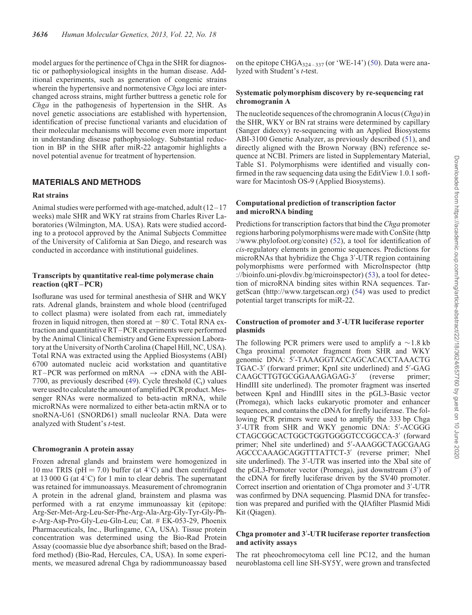model argues for the pertinence of Chga in the SHR for diagnostic or pathophysiological insights in the human disease. Additional experiments, such as generation of congenic strains wherein the hypertensive and normotensive *Chga* loci are interchanged across strains, might further buttress a genetic role for Chga in the pathogenesis of hypertension in the SHR. As novel genetic associations are established with hypertension, identification of precise functional variants and elucidation of their molecular mechanisms will become even more important in understanding disease pathophysiology. Substantial reduction in BP in the SHR after miR-22 antagomir highlights a novel potential avenue for treatment of hypertension.

## MATERIALS AND METHODS

#### Rat strains

Animal studies were performed with age-matched, adult  $(12-17)$ weeks) male SHR and WKY rat strains from Charles River Laboratories (Wilmington, MA. USA). Rats were studied according to a protocol approved by the Animal Subjects Committee of the University of California at San Diego, and research was conducted in accordance with institutional guidelines.

#### Transcripts by quantitative real-time polymerase chain reaction (qRT–PCR)

Isoflurane was used for terminal anesthesia of SHR and WKY rats. Adrenal glands, brainstem and whole blood (centrifuged to collect plasma) were isolated from each rat, immediately frozen in liquid nitrogen, then stored at  $-80^{\circ}$ C. Total RNA extraction and quantitative RT–PCR experiments were performed by the Animal Clinical Chemistry and Gene Expression Laboratory at the University of North Carolina (Chapel Hill, NC, USA). Total RNA was extracted using the Applied Biosystems (ABI) 6700 automated nucleic acid workstation and quantitative RT–PCR was performed on mRNA  $\rightarrow$  cDNA with the ABI-7700, as previously described ([49](#page-16-0)). Cycle threshold  $(C_t)$  values were used to calculate the amount of amplified PCR product. Messenger RNAs were normalized to beta-actin mRNA, while microRNAs were normalized to either beta-actin mRNA or to snoRNA-U61 (SNORD61) small nucleolar RNA. Data were analyzed with Student's t-test.

## Chromogranin A protein assay

Frozen adrenal glands and brainstem were homogenized in 10 mm TRIS ( $pH = 7.0$ ) buffer (at  $4^{\circ}$ C) and then centrifuged at 13 000 G (at  $4^{\circ}$ C) for 1 min to clear debris. The supernatant was retained for immunoassays. Measurement of chromogranin A protein in the adrenal gland, brainstem and plasma was performed with a rat enzyme immunoassay kit (epitope: Arg-Ser-Met-Arg-Leu-Ser-Phe-Arg-Ala-Arg-Gly-Tyr-Gly-Phe-Arg-Asp-Pro-Gly-Leu-Gln-Leu; Cat. # EK-053-29, Phoenix Pharmaceuticals, Inc., Burlingame, CA, USA). Tissue protein concentration was determined using the Bio-Rad Protein Assay (coomassie blue dye absorbance shift; based on the Bradford method) (Bio-Rad, Hercules, CA, USA). In some experiments, we measured adrenal Chga by radiommunoassay based

on the epitope CHGA $_{324-337}$  (or 'WE-14') [\(50](#page-16-0)). Data were analyzed with Student's t-test.

## Systematic polymorphism discovery by re-sequencing rat chromogranin A

The nucleotide sequences of the chromogranin A locus  $(Chga)$  in the SHR, WKY or BN rat strains were determined by capillary (Sanger dideoxy) re-sequencing with an Applied Biosystems ABI-3100 Genetic Analyzer, as previously described [\(51](#page-16-0)), and directly aligned with the Brown Norway (BN) reference sequence at NCBI. Primers are listed in [Supplementary Material,](http://hmg.oxfordjournals.org/lookup/suppl/doi:10.1093/hmg/ddt213/-/DC1) [Table S1.](http://hmg.oxfordjournals.org/lookup/suppl/doi:10.1093/hmg/ddt213/-/DC1) Polymorphisms were identified and visually confirmed in the raw sequencing data using the EditView 1.0.1 software for Macintosh OS-9 (Applied Biosystems).

#### Computational prediction of transcription factor and microRNA binding

Predictions for transcription factors that bind the *Chga* promoter regions harboring polymorphisms were made with ConSite (http :/www.phylofoot.org/consite) ([52\)](#page-16-0), a tool for identification of cis-regulatory elements in genomic sequences. Predictions for microRNAs that hybridize the Chga 3′ -UTR region containing polymorphisms were performed with MicroInspector (http ://bioinfo.uni-plovdiv.bg/microinspector) [\(53](#page-16-0)), a tool for detection of microRNA binding sites within RNA sequences. TargetScan (http://www.targetscan.org) [\(54](#page-16-0)) was used to predict potential target transcripts for miR-22.

## Construction of promoter and 3′ -UTR luciferase reporter plasmids

The following PCR primers were used to amplify a  $\sim$ 1.8 kb Chga proximal promoter fragment from SHR and WKY genomic DNA: 5′ -TAAAGGTACCAGCACACCTAAACTG TGAC-3′ (forward primer; KpnI site underlined) and 5′ -GAG CAAGCTTGTGCGGAAAGAGAG-3′ (reverse primer; HindIII site underlined). The promoter fragment was inserted between KpnI and HindIII sites in the pGL3-Basic vector (Promega), which lacks eukaryotic promoter and enhancer sequences, and contains the cDNA for firefly luciferase. The following PCR primers were used to amplify the 333 bp Chga 3′ -UTR from SHR and WKY genomic DNA: 5′ -ACGGG CTAGCGGCACTGGCTGGTGGGGTCCGGCCA-3′ (forward primer; NheI site underlined) and 5′ -AAAGGCTAGCGAAG AGCCCAAAGCAGGTTTATTCT-3′ (reverse primer; NheI site underlined). The 3'-UTR was inserted into the XbaI site of the pGL3-Promoter vector (Promega), just downstream (3′ ) of the cDNA for firefly luciferase driven by the SV40 promoter. Correct insertion and orientation of Chga promoter and 3′ -UTR was confirmed by DNA sequencing. Plasmid DNA for transfection was prepared and purified with the QIAfilter Plasmid Midi Kit (Qiagen).

## Chga promoter and 3′ -UTR luciferase reporter transfection and activity assays

The rat pheochromocytoma cell line PC12, and the human neuroblastoma cell line SH-SY5Y, were grown and transfected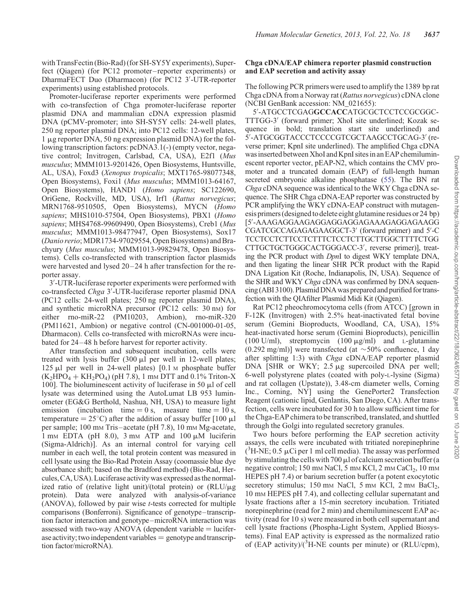with TransFectin (Bio-Rad) (for SH-SY5Y experiments), Superfect (Qiagen) (for PC12 promoter – reporter experiments) or DharmaFECT Duo (Dharmacon) (for PC12 3′ -UTR-reporter experiments) using established protocols.

Promoter-luciferase reporter experiments were performed with co-transfection of Chga promoter-luciferase reporter plasmid DNA and mammalian cDNA expression plasmid DNA (pCMV-promoter; into SH-SY5Y cells: 24-well plates, 250 ng reporter plasmid DNA; into PC12 cells: 12-well plates, 1 mg reporter DNA, 50 ng expression plasmid DNA) for the following transcription factors: pcDNA3.1(-) (empty vector, negative control; Invitrogen, Carlsbad, CA, USA), E2f1 (Mus musculus; MMM1013-9201426, Open Biosystems, Huntsville, AL, USA), Foxd3 (Xenopus tropicalis; MXT1765-98077348, Open Biosystems), Foxi1 (Mus musculus; MMM1013-64167, Open Biosystems), HAND1 (Homo sapiens; SC122690, OriGene, Rockville, MD, USA), Irf1 (Rattus norvegicus; MRN1768-9510505, Open Biosystems), MYCN (Homo sapiens; MHS1010-57504, Open Biosystems), PBX1 (Homo sapiens; MHS4768-99609490, Open Biosystems), Creb1 (Mus musculus; MMM1013-98477947, Open Biosystems), Sox17 (Danio rerio;MDR1734-97029554, Open Biosystems) and Brachyury (Mus musculus; MMM1013-99829478, Open Biosystems). Cells co-transfected with transcription factor plasmids were harvested and lysed  $20-24$  h after transfection for the reporter assay.

3′ -UTR-luciferase reporter experiments were performed with co-transfected Chga 3'-UTR-luciferase reporter plasmid DNA (PC12 cells: 24-well plates; 250 ng reporter plasmid DNA), and synthetic microRNA precursor (PC12 cells: 30 nm) for either rno-miR-22 (PM10203, Ambion), rno-miR-320 (PM11621, Ambion) or negative control (CN-001000-01-05, Dharmacon). Cells co-transfected with microRNAs were incubated for 24– 48 h before harvest for reporter activity.

After transfection and subsequent incubation, cells were treated with lysis buffer  $(300 \mu l)$  per well in 12-well plates; 125  $\mu$ l per well in 24-well plates) [0.1 M phosphate buffer  $(K_2HPO_4 + KH_2PO_4)$  (pH 7.8), 1 mm DTT and 0.1% Triton-X 100]. The bioluminescent activity of luciferase in 50  $\mu$ l of cell lysate was determined using the AutoLumat LB 953 luminometer (EG&G Berthold, Nashua, NH, USA) to measure light emission (incubation time  $= 0$  s, measure time  $= 10$  s, temperature =  $25^{\circ}$ C) after the addition of assay buffer [100  $\mu$ ] per sample; 100 mM Tris –acetate (pH 7.8), 10 mM Mg-acetate,  $1 \text{ mm}$  EDTA (pH 8.0),  $3 \text{ mm}$  ATP and  $100 \mu \text{M}$  luciferin (Sigma-Aldrich)]. As an internal control for varying cell number in each well, the total protein content was measured in cell lysate using the Bio-Rad Protein Assay (coomassie blue dye absorbance shift; based on the Bradford method) (Bio-Rad, Hercules,CA, USA). Luciferase activity was expressed asthe normalized ratio of (relative light unit)/(total protein) or  $(RLU/\mu g)$ protein). Data were analyzed with analysis-of-variance (ANOVA), followed by pair wise t-tests corrected for multiple comparisons (Bonferroni). Significance of genotype–transcription factor interaction and genotype–microRNA interaction was assessed with two-way ANOVA (dependent variable  $=$  luciferase activity; two independent variables  $=$  genotype and transcription factor/microRNA).

## Chga cDNA/EAP chimera reporter plasmid construction and EAP secretion and activity assay

The following PCR primers were used to amplify the 1389 bp rat Chga cDNA from a Norway rat (Rattus norvegicus) cDNA clone (NCBI GenBank accession: NM\_021655):

5′ -ATGCCTCGAGGCCACCATGCGCTCCTCCGCGGC-TTTGG-3′ (forward primer; XhoI site underlined; Kozak sequence in bold; translation start site underlined) and 5′ -ATGCGGTACCCTCCCCGTCGCTAAGCCTGCAG-3′ (reverse primer; KpnI site underlined). The amplified Chga cDNA wasinserted between XhoI and KpnI sitesin an EAP chemiluminescent reporter vector, pEAP-N2, which contains the CMV promoter and a truncated domain (EAP) of full-length human secreted embryonic alkaline phosphatase ([55\)](#page-16-0). The BN rat Chga cDNA sequence was identical to the WKY Chga cDNA sequence. The SHR Chga cDNA-EAP reporter was constructed by PCR amplifying the WKY cDNA-EAP construct with mutagenesis primers (designedto delete eight glutamine residues or 24 bp) [5′ -AAAGAGGAAGAGGAGGAGGAGAAAGAGGAGAAGG CGATCGCCAGAGAGAAGGCT-3′ (forward primer) and 5′ -C TCCTCCTCTTCCTCTTTCTCCTCTTGCTTGGCTTTTCTGG CTTGCTGCTGGGCACTGGGACC-3′ , reverse primer)], treating the PCR product with DpnI to digest WKY template DNA, and then ligating the linear SHR PCR product with the Rapid DNA Ligation Kit (Roche, Indianapolis, IN, USA). Sequence of the SHR and WKY *Chga* cDNA was confirmed by DNA sequencing (ABI 3100). Plasmid DNA was prepared and purified fortransfection with the QIAfilter Plasmid Midi Kit (Qiagen).

Rat PC12 pheochromocytoma cells (from ATCC) [grown in F-12K (Invitrogen) with 2.5% heat-inactivated fetal bovine serum (Gemini Bioproducts, Woodland, CA, USA), 15% heat-inactivated horse serum (Gemini Bioproducts), penicillin (100 U/ml), streptomycin (100  $\mu$ g/ml) and L-glutamine  $(0.292 \text{ mg/ml})$ ] were transfected (at  $\sim 50\%$  confluence, 1 day after splitting 1:3) with Chga cDNA/EAP reporter plasmid DNA [SHR or WKY;  $2.5 \mu$ g supercoiled DNA per well; 6-well polystyrene plates (coated with poly-L-lysine (Sigma) and rat collagen (Upstate)), 3.48-cm diameter wells, Corning Inc., Corning, NY] using the GenePorter2 Transfection Reagent (cationic lipid, Genlantis, San Diego, CA). After transfection, cells were incubated for 30 h to allow sufficient time for the Chga-EAP chimera to be transcribed, translated, and shuttled through the Golgi into regulated secretory granules.

Two hours before performing the EAP secretion activity assays, the cells were incubated with tritiated norepinephrine  $(^{3}H\text{-NE}; 0.5 \mu\text{Ci}$  per 1 ml cell media). The assay was performed by stimulating the cells with 700  $\mu$ l of calcium secretion buffer (a negative control; 150 mm NaCl, 5 mm KCl, 2 mm CaCl<sub>2</sub>, 10 mm HEPES pH 7.4) or barium secretion buffer (a potent exocytotic secretory stimulus; 150 mm NaCl, 5 mm KCl, 2 mm BaCl<sub>2</sub>, 10 mM HEPES pH 7.4), and collecting cellular supernatant and lysate fractions after a 15-min secretory incubation. Tritiated norepinephrine (read for 2 min) and chemiluminescent EAP activity (read for 10 s) were measured in both cell supernatant and cell lysate fractions (Phospha-Light System, Applied Biosystems). Final EAP activity is expressed as the normalized ratio of (EAP activity)/( ${}^{3}$ H-NE counts per minute) or (RLU/cpm),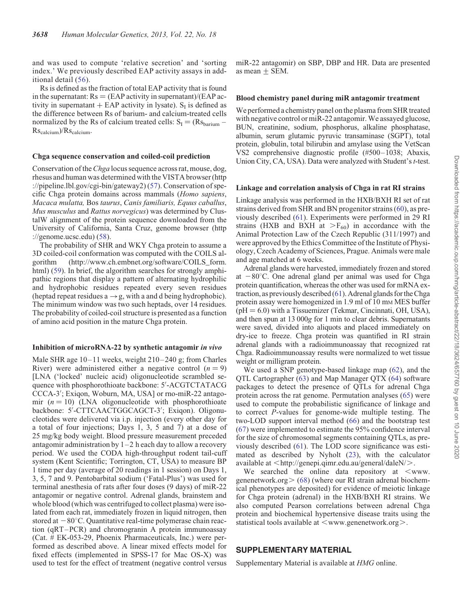and was used to compute 'relative secretion' and 'sorting index.' We previously described EAP activity assays in additional detail ([56](#page-16-0)).

Rs is defined as the fraction of total EAP activity that is found in the supernatant:  $Rs = (EAP$  activity in supernatant)/(EAP activity in supernatant  $+$  EAP activity in lysate). S<sub>I</sub> is defined as the difference between Rs of barium- and calcium-treated cells normalized by the Rs of calcium treated cells:  $S_I = (Rs_{\text{barium}} Rs_{\text{calcium}}$ )/ $Rs_{\text{calcium}}$ .

#### Chga sequence conservation and coiled-coil prediction

Conservation of the *Chga* locus sequence across rat, mouse, dog, rhesus and human was determined with the VISTA browser (http ://pipeline.lbl.gov/cgi-bin/gateway2) ([57](#page-16-0)). Conservation of specific Chga protein domains across mammals (Homo sapiens, Macaca mulatta, Bos taurus, Canis familiaris, Equus caballus, Mus musculus and Rattus norvegicus) was determined by ClustalW alignment of the protein sequence downloaded from the University of California, Santa Cruz, genome browser (http ://genome.ucsc.edu) ([58\)](#page-16-0).

The probability of SHR and WKY Chga protein to assume a 3D coiled-coil conformation was computed with the COILS algorithm (http://www.ch.embnet.org/software/COILS\_form. html) ([59\)](#page-16-0). In brief, the algorithm searches for strongly amphipathic regions that display a pattern of alternating hydrophilic and hydrophobic residues repeated every seven residues (heptad repeat residues  $a \rightarrow g$ , with a and d being hydrophobic). The minimum window was two such heptads, over 14 residues. The probability of coiled-coil structure is presented as a function of amino acid position in the mature Chga protein.

#### Inhibition of microRNA-22 by synthetic antagomir in vivo

Male SHR age 10–11 weeks, weight 210–240 g; from Charles River) were administered either a negative control  $(n = 9)$ [LNA ('locked' nucleic acid) oligonucleotide scrambled sequence with phosphorothioate backbone: 5′ -ACGTCTATACG CCCA-3′ ; Exiqon, Woburn, MA, USA] or rno-miR-22 antagomir  $(n = 10)$  (LNA oligonucleotide with phosphorothioate backbone: 5′ -CTTCAACTGGCAGCT-3′ ; Exiqon). Oligonucleotides were delivered via i.p. injection (every other day for a total of four injections; Days 1, 3, 5 and 7) at a dose of 25 mg/kg body weight. Blood pressure measurement preceded antagomir administration by  $1-2$  h each day to allow a recovery period. We used the CODA high-throughput rodent tail-cuff system (Kent Scientific; Torrington, CT, USA) to measure BP 1 time per day (average of 20 readings in 1 session) on Days 1, 3, 5, 7 and 9. Pentobarbital sodium ('Fatal-Plus') was used for terminal anesthesia of rats after four doses (9 days) of miR-22 antagomir or negative control. Adrenal glands, brainstem and whole blood (which was centrifuged to collect plasma) were isolated from each rat, immediately frozen in liquid nitrogen, then stored at  $-80^{\circ}$ C. Quantitative real-time polymerase chain reaction (qRT –PCR) and chromogranin A protein immunoassay (Cat. # EK-053-29, Phoenix Pharmaceuticals, Inc.) were performed as described above. A linear mixed effects model for fixed effects (implemented in SPSS-17 for Mac OS-X) was used to test for the effect of treatment (negative control versus

miR-22 antagomir) on SBP, DBP and HR. Data are presented as mean  $\pm$  SEM.

#### Blood chemistry panel during miR antagomir treatment

We performed a chemistry panel on the plasma from SHR treated with negative control or miR-22 antagomir. We assayed glucose, BUN, creatinine, sodium, phosphorus, alkaline phosphatase, albumin, serum glutamic pyruvic transaminase (SGPT), total protein, globulin, total bilirubin and amylase using the VetScan VS2 comprehensive diagnostic profile (#500–1038; Abaxis, Union City, CA, USA). Data were analyzed with Student's t-test.

#### Linkage and correlation analysis of Chga in rat RI strains

Linkage analysis was performed in the HXB/BXH RI set of rat strains derived from SHR and BN progenitor strains [\(60](#page-16-0)), as previously described ([61\)](#page-16-0). Experiments were performed in 29 RI strains (HXB and BXH at  $>F_{60}$ ) in accordance with the Animal Protection Law of the Czech Republic (311/1997) and were approved by the Ethics Committee of the Institute of Physiology, Czech Academy of Sciences, Prague. Animals were male and age matched at 6 weeks.

Adrenal glands were harvested, immediately frozen and stored at  $-80^{\circ}$ C. One adrenal gland per animal was used for Chga protein quantification, whereas the other was used for mRNA extraction, as previously described  $(61)$  $(61)$ . Adrenal glands for the Chga protein assay were homogenized in 1.9 ml of 10 mm MES buffer  $(pH = 6.0)$  with a Tissuemizer (Tekmar, Cincinnati, OH, USA), and then spun at 13 000g for 1 min to clear debris. Supernatants were saved, divided into aliquots and placed immediately on dry-ice to freeze. Chga protein was quantified in RI strain adrenal glands with a radioimmunoassay that recognized rat Chga. Radioimmunoassay results were normalized to wet tissue weight or milligram protein.

We used a SNP genotype-based linkage map [\(62](#page-16-0)), and the QTL Cartographer [\(63](#page-16-0)) and Map Manager QTX [\(64](#page-16-0)) software packages to detect the presence of QTLs for adrenal Chga protein across the rat genome. Permutation analyses [\(65](#page-16-0)) were used to compute the probabilistic significance of linkage and to correct P-values for genome-wide multiple testing. The two-LOD support interval method ([66\)](#page-16-0) and the bootstrap test [\(67](#page-16-0)) were implemented to estimate the 95% confidence interval for the size of chromosomal segments containing QTLs, as previously described ([61](#page-16-0)). The LOD score significance was estimated as described by Nyholt [\(23](#page-15-0)), with the calculator available at  $\langle \text{http://genepi.qimr.edu.au/general/daleN}\rangle$ .

We searched the online data repository at  $\leq$ www. genenetwork.org $>$  ([68\)](#page-16-0) (where our RI strain adrenal biochemical phenotypes are deposited) for evidence of meiotic linkage for Chga protein (adrenal) in the HXB/BXH RI strains. We also computed Pearson correlations between adrenal Chga protein and biochemical hypertensive disease traits using the statistical tools available at  $\leq$ www.genenetwork.org $\geq$ .

## SUPPLEMENTARY MATERIAL

[Supplementary Material is available at](http://hmg.oxfordjournals.org/lookup/suppl/doi:10.1093/hmg/ddt213/-/DC1) HMG online.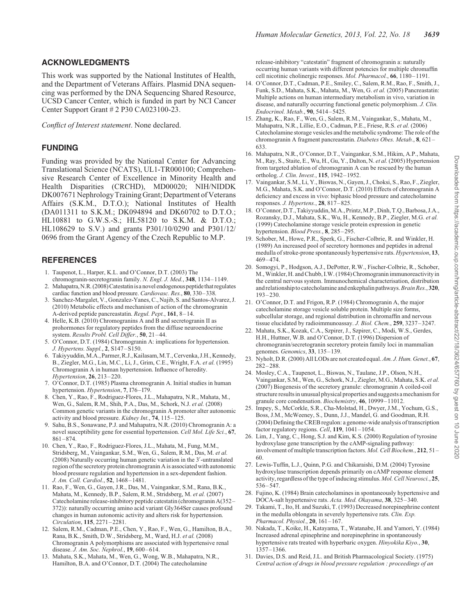# <span id="page-15-0"></span>ACKNOWLEDGMENTS

This work was supported by the National Institutes of Health, and the Department of Veterans Affairs. Plasmid DNA sequencing was performed by the DNA Sequencing Shared Resource, UCSD Cancer Center, which is funded in part by NCI Cancer Center Support Grant # 2 P30 CA023100-23.

Conflict of Interest statement. None declared.

# FUNDING

Funding was provided by the National Center for Advancing Translational Science (NCATS), UL1-TR000100; Comprehensive Research Center of Excellence in Minority Health and Health Disparities (CRCHD), MD00020; NIH/NIDDK DK007671 Nephrology Training Grant; Department of Veterans Affairs (S.K.M., D.T.O.); National Institutes of Health (DA011311 to S.K.M.; DK094894 and DK60702 to D.T.O.; HL10881 to G.W.S.-S.; HL58120 to S.K.M. & D.T.O.; HL108629 to S.V.) and grants P301/10/0290 and P301/12/ 0696 from the Grant Agency of the Czech Republic to M.P.

# **REFERENCES**

- 1. Taupenot, L., Harper, K.L. and O'Connor, D.T. (2003) The chromogranin-secretogranin family. N. Engl. J. Med., 348, 1134-1149.
- 2. Mahapatra, N.R. (2008) Catestatin is a novel endogenous peptide that regulates cardiac function and blood pressure. Cardiovasc. Res., 80, 330–338.
- 3. Sanchez-Margalet, V., Gonzalez-Yanes, C., Najib, S. and Santos-Alvarez, J. (2010) Metabolic effects and mechanism of action of the chromogranin A-derived peptide pancreastatin. Regul. Pept., 161, 8– 14.
- 4. Helle, K.B. (2010) Chromogranins A and B and secretogranin II as prohormones for regulatory peptides from the diffuse neuroendocrine system. Results Probl. Cell Differ., 50, 21–44.
- 5. O'Connor, D.T. (1984) Chromogranin A: implications for hypertension. J. Hypertens. Suppl., 2, S147–S150.
- 6. Takiyyuddin,M.A., Parmer,R.J., Kailasam,M.T.,Cervenka, J.H., Kennedy, B., Ziegler, M.G., Lin, M.C., Li, J., Grim, C.E., Wright, F.A. et al. (1995) Chromogranin A in human hypertension. Influence of heredity. Hypertension, 26, 213–220.
- 7. O'Connor, D.T. (1985) Plasma chromogranin A. Initial studies in human hypertension. Hypertension, 7, 176–179.
- 8. Chen, Y., Rao, F., Rodriguez-Flores, J.L., Mahapatra, N.R., Mahata, M., Wen, G., Salem, R.M., Shih, P.A., Das, M., Schork, N.J. et al. (2008) Common genetic variants in the chromogranin A promoter alter autonomic activity and blood pressure. Kidney Int., 74, 115– 125.
- 9. Sahu, B.S., Sonawane, P.J. and Mahapatra, N.R. (2010) Chromogranin A: a novel susceptibility gene for essential hypertension. Cell Mol. Life Sci., 67, 861–874.
- 10. Chen, Y., Rao, F., Rodriguez-Flores, J.L., Mahata, M., Fung, M.M., Stridsberg, M., Vaingankar, S.M., Wen, G., Salem, R.M., Das, M. et al. (2008) Naturally occurring human genetic variation in the 3′ -untranslated region of the secretory protein chromogranin A is associated with autonomic blood pressure regulation and hypertension in a sex-dependent fashion. J. Am. Coll. Cardiol., 52, 1468–1481.
- 11. Rao, F., Wen, G., Gayen, J.R., Das, M., Vaingankar, S.M., Rana, B.K., Mahata, M., Kennedy, B.P., Salem, R.M., Stridsberg, M. et al. (2007) Catecholamine release-inhibitory peptide catestatin (chromogranin A(352– 372)): naturally occurring amino acid variant Gly364Ser causes profound changes in human autonomic activity and alters risk for hypertension. Circulation, 115, 2271–2281.
- 12. Salem, R.M., Cadman, P.E., Chen, Y., Rao, F., Wen, G., Hamilton, B.A., Rana, B.K., Smith, D.W., Stridsberg, M., Ward, H.J. et al. (2008) Chromogranin A polymorphisms are associated with hypertensive renal disease. J. Am. Soc. Nephrol., 19, 600-614.
- 13. Mahata, S.K., Mahata, M., Wen, G., Wong, W.B., Mahapatra, N.R., Hamilton, B.A. and O'Connor, D.T. (2004) The catecholamine

release-inhibitory "catestatin" fragment of chromogranin a: naturally occurring human variants with different potencies for multiple chromaffin cell nicotinic cholinergic responses. Mol. Pharmacol., 66, 1180– 1191.

- 14. O'Connor, D.T., Cadman, P.E., Smiley, C., Salem, R.M., Rao, F., Smith, J., Funk, S.D., Mahata, S.K., Mahata, M., Wen, G. et al. (2005) Pancreastatin: Multiple actions on human intermediary metabolism in vivo, variation in disease, and naturally occurring functional genetic polymorphism. J. Clin. Endocrinol. Metab., 90, 5414– 5425.
- 15. Zhang, K., Rao, F., Wen, G., Salem, R.M., Vaingankar, S., Mahata, M., Mahapatra, N.R., Lillie, E.O., Cadman, P.E., Friese, R.S. et al. (2006) Catecholamine storage vesicles and the metabolic syndrome: The role of the chromogranin A fragment pancreastatin. Diabetes Obes. Metab., 8, 621 – 633.
- 16. Mahapatra, N.R., O'Connor, D.T., Vaingankar, S.M., Hikim, A.P., Mahata, M., Ray, S., Staite, E., Wu, H., Gu, Y., Dalton, N. et al. (2005) Hypertension from targeted ablation of chromogranin A can be rescued by the human ortholog. J. Clin. Invest., 115, 1942–1952.
- 17. Vaingankar, S.M., Li, Y., Biswas, N., Gayen, J., Choksi, S., Rao, F., Ziegler, M.G., Mahata, S.K. and O'Connor, D.T. (2010) Effects of chromogranin A deficiency and excess in vivo: biphasic blood pressure and catecholamine responses. J. Hypertens., 28, 817-825.
- 18. O'Connor, D.T., Takiyyuddin,M.A., Printz,M.P., Dinh, T.Q.,Barbosa, J.A., Rozansky, D.J., Mahata, S.K., Wu, H., Kennedy, B.P., Ziegler, M.G. et al. (1999) Catecholamine storage vesicle protein expression in genetic hypertension. Blood Press., 8, 285–295.
- 19. Schober, M., Howe, P.R., Sperk, G., Fischer-Colbrie, R. and Winkler, H. (1989) An increased pool of secretory hormones and peptides in adrenal medulla of stroke-prone spontaneously hypertensive rats. Hypertension, 13, 469– 474.
- 20. Somogyi, P., Hodgson, A.J., DePotter, R.W., Fischer-Colbrie, R., Schober, M.,Winkler, H. and Chubb, I.W. (1984) Chromogranin immunoreactivity in the central nervous system. Immunochemical characterisation, distribution and relationship to catecholamine and enkephalin pathways. Brain Res., 320,  $193 - 230.$
- 21. O'Connor, D.T. and Frigon, R.P. (1984) Chromogranin A, the major catecholamine storage vesicle soluble protein. Multiple size forms, subcellular storage, and regional distribution in chromaffin and nervous tissue elucidated by radioimmunoassay. J. Biol. Chem., 259, 3237-3247.
- 22. Mahata, S.K., Kozak, C.A., Szpirer, J., Szpirer, C., Modi, W.S., Gerdes, H.H., Huttner, W.B. and O'Connor, D.T. (1996) Dispersion of chromogranin/secretogranin secretory protein family loci in mammalian genomes. Genomics, 33, 135–139.
- 23. Nyholt, D.R. (2000) All LODs are not created equal. Am. J. Hum. Genet., 67, 282– 288.
- 24. Mosley, C.A., Taupenot, L., Biswas, N., Taulane, J.P., Olson, N.H., Vaingankar, S.M., Wen, G., Schork, N.J., Ziegler, M.G., Mahata, S.K. et al. (2007) Biogenesis of the secretory granule: chromogranin A coiled-coil structure results in unusual physical properties and suggests a mechanism for granule core condensation. Biochemistry, 46, 10999–11012.
- 25. Impey, S., McCorkle, S.R., Cha-Molstad, H., Dwyer, J.M., Yochum, G.S., Boss, J.M., McWeeney, S., Dunn, J.J., Mandel, G. and Goodman, R.H. (2004) Defining the CREB regulon: a genome-wide analysis of transcription factor regulatory regions. Cell, 119, 1041-1054.
- 26. Lim, J., Yang, C., Hong, S.J. and Kim, K.S. (2000) Regulation of tyrosine hydroxylase gene transcription by the cAMP-signaling pathway: involvement of multiple transcription factors. Mol. Cell Biochem., 212, 51– 60.
- 27. Lewis-Tuffin, L.J., Quinn, P.G. and Chikaraishi, D.M. (2004) Tyrosine hydroxylase transcription depends primarily on cAMP response element activity, regardless of the type of inducing stimulus. Mol. Cell Neurosci., 25, 536– 547.
- 28. Fujino, K. (1984) Brain catecholamines in spontaneously hypertensive and DOCA-salt hypertensive rats. Acta. Med. Okayama, 38, 325– 340.
- 29. Takami, T., Ito, H. and Suzuki, T. (1993) Decreased norepinephrine content in the medulla oblongata in severely hypertensive rats. Clin. Exp. Pharmacol. Physiol., 20, 161-167.
- 30. Nakada, T., Koike, H., Katayama, T., Watanabe, H. and Yamori, Y. (1984) Increased adrenal epinephrine and norepinephrine in spontaneously hypertensive rats treated with hyperbaric oxygen. Hinyokika Kiyo., 30, 1357–1366.
- 31. Davies, D.S. and Reid, J.L. and British Pharmacological Society. (1975) Central action of drugs in blood pressure regulation : proceedings of an